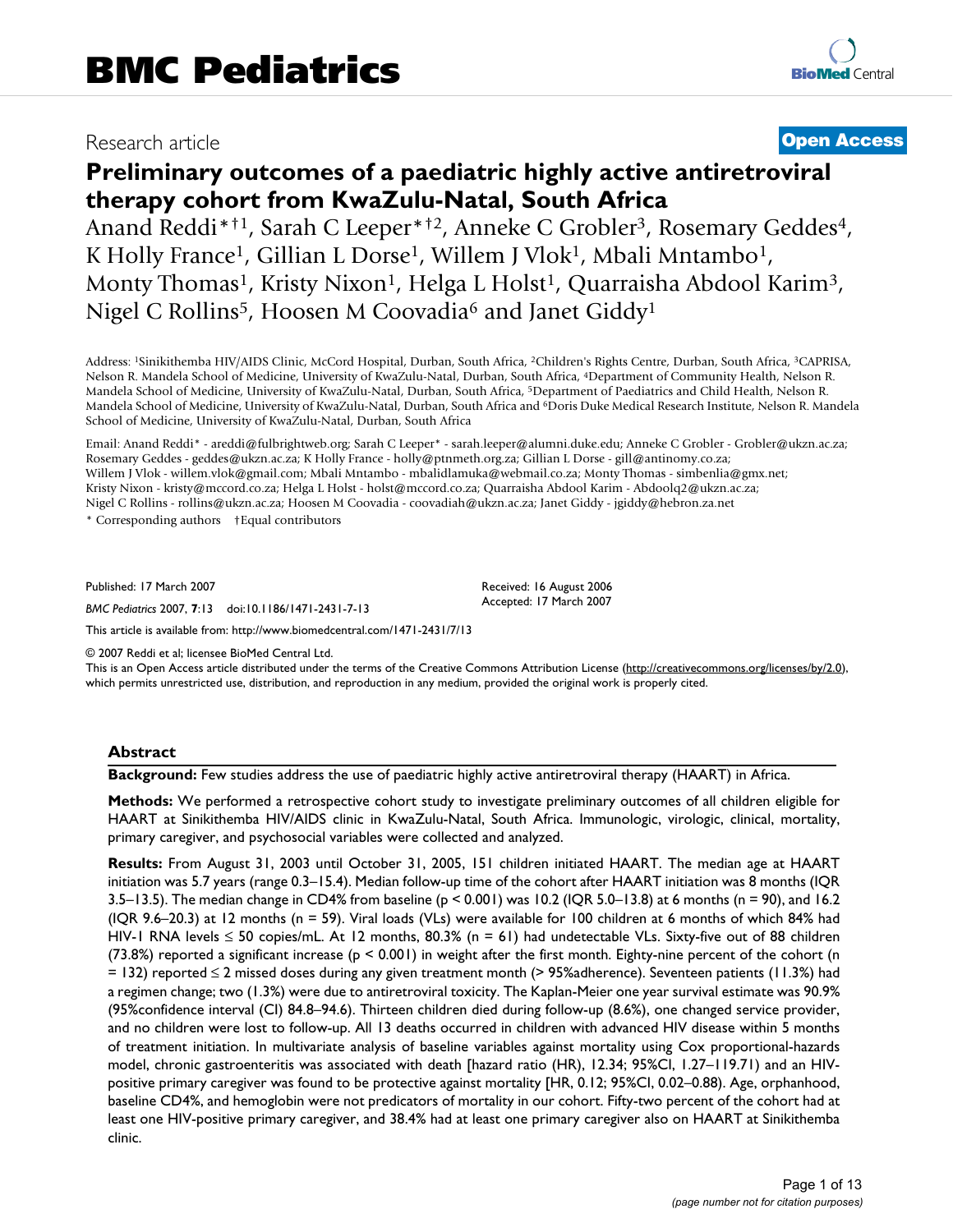# Research article **[Open Access](http://www.biomedcentral.com/info/about/charter/)**

# **Preliminary outcomes of a paediatric highly active antiretroviral therapy cohort from KwaZulu-Natal, South Africa**

Anand Reddi<sup>\*†1</sup>, Sarah C Leeper<sup>\*†2</sup>, Anneke C Grobler<sup>3</sup>, Rosemary Geddes<sup>4</sup>, K Holly France<sup>1</sup>, Gillian L Dorse<sup>1</sup>, Willem J Vlok<sup>1</sup>, Mbali Mntambo<sup>1</sup>, Monty Thomas<sup>1</sup>, Kristy Nixon<sup>1</sup>, Helga L Holst<sup>1</sup>, Quarraisha Abdool Karim<sup>3</sup>, Nigel C Rollins<sup>5</sup>, Hoosen M Coovadia<sup>6</sup> and Janet Giddy<sup>1</sup>

Address: 1Sinikithemba HIV/AIDS Clinic, McCord Hospital, Durban, South Africa, 2Children's Rights Centre, Durban, South Africa, 3CAPRISA, Nelson R. Mandela School of Medicine, University of KwaZulu-Natal, Durban, South Africa, 4Department of Community Health, Nelson R. Mandela School of Medicine, University of KwaZulu-Natal, Durban, South Africa, 5Department of Paediatrics and Child Health, Nelson R. Mandela School of Medicine, University of KwaZulu-Natal, Durban, South Africa and <sup>6</sup>Doris Duke Medical Research Institute, Nelson R. Mandela School of Medicine, University of KwaZulu-Natal, Durban, South Africa

Email: Anand Reddi\* - areddi@fulbrightweb.org; Sarah C Leeper\* - sarah.leeper@alumni.duke.edu; Anneke C Grobler - Grobler@ukzn.ac.za; Rosemary Geddes - geddes@ukzn.ac.za; K Holly France - holly@ptnmeth.org.za; Gillian L Dorse - gill@antinomy.co.za; Willem J Vlok - willem.vlok@gmail.com; Mbali Mntambo - mbalidlamuka@webmail.co.za; Monty Thomas - simbenlia@gmx.net; Kristy Nixon - kristy@mccord.co.za; Helga L Holst - holst@mccord.co.za; Quarraisha Abdool Karim - Abdoolq2@ukzn.ac.za; Nigel C Rollins - rollins@ukzn.ac.za; Hoosen M Coovadia - coovadiah@ukzn.ac.za; Janet Giddy - jgiddy@hebron.za.net

\* Corresponding authors †Equal contributors

Published: 17 March 2007

*BMC Pediatrics* 2007, **7**:13 doi:10.1186/1471-2431-7-13

[This article is available from: http://www.biomedcentral.com/1471-2431/7/13](http://www.biomedcentral.com/1471-2431/7/13)

© 2007 Reddi et al; licensee BioMed Central Ltd.

This is an Open Access article distributed under the terms of the Creative Commons Attribution License [\(http://creativecommons.org/licenses/by/2.0\)](http://creativecommons.org/licenses/by/2.0), which permits unrestricted use, distribution, and reproduction in any medium, provided the original work is properly cited.

Received: 16 August 2006 Accepted: 17 March 2007

#### **Abstract**

**Background:** Few studies address the use of paediatric highly active antiretroviral therapy (HAART) in Africa.

**Methods:** We performed a retrospective cohort study to investigate preliminary outcomes of all children eligible for HAART at Sinikithemba HIV/AIDS clinic in KwaZulu-Natal, South Africa. Immunologic, virologic, clinical, mortality, primary caregiver, and psychosocial variables were collected and analyzed.

**Results:** From August 31, 2003 until October 31, 2005, 151 children initiated HAART. The median age at HAART initiation was 5.7 years (range 0.3–15.4). Median follow-up time of the cohort after HAART initiation was 8 months (IQR 3.5–13.5). The median change in CD4% from baseline ( $p < 0.001$ ) was 10.2 (IQR 5.0–13.8) at 6 months (n = 90), and 16.2 (IQR 9.6–20.3) at 12 months (n = 59). Viral loads (VLs) were available for 100 children at 6 months of which 84% had HIV-1 RNA levels ≤ 50 copies/mL. At 12 months, 80.3% (n = 61) had undetectable VLs. Sixty-five out of 88 children (73.8%) reported a significant increase ( $p < 0.001$ ) in weight after the first month. Eighty-nine percent of the cohort (n = 132) reported ≤ 2 missed doses during any given treatment month (> 95%adherence). Seventeen patients (11.3%) had a regimen change; two (1.3%) were due to antiretroviral toxicity. The Kaplan-Meier one year survival estimate was 90.9% (95%confidence interval (CI) 84.8–94.6). Thirteen children died during follow-up (8.6%), one changed service provider, and no children were lost to follow-up. All 13 deaths occurred in children with advanced HIV disease within 5 months of treatment initiation. In multivariate analysis of baseline variables against mortality using Cox proportional-hazards model, chronic gastroenteritis was associated with death [hazard ratio (HR), 12.34; 95%CI, 1.27–119.71) and an HIVpositive primary caregiver was found to be protective against mortality [HR, 0.12; 95%CI, 0.02–0.88). Age, orphanhood, baseline CD4%, and hemoglobin were not predicators of mortality in our cohort. Fifty-two percent of the cohort had at least one HIV-positive primary caregiver, and 38.4% had at least one primary caregiver also on HAART at Sinikithemba clinic.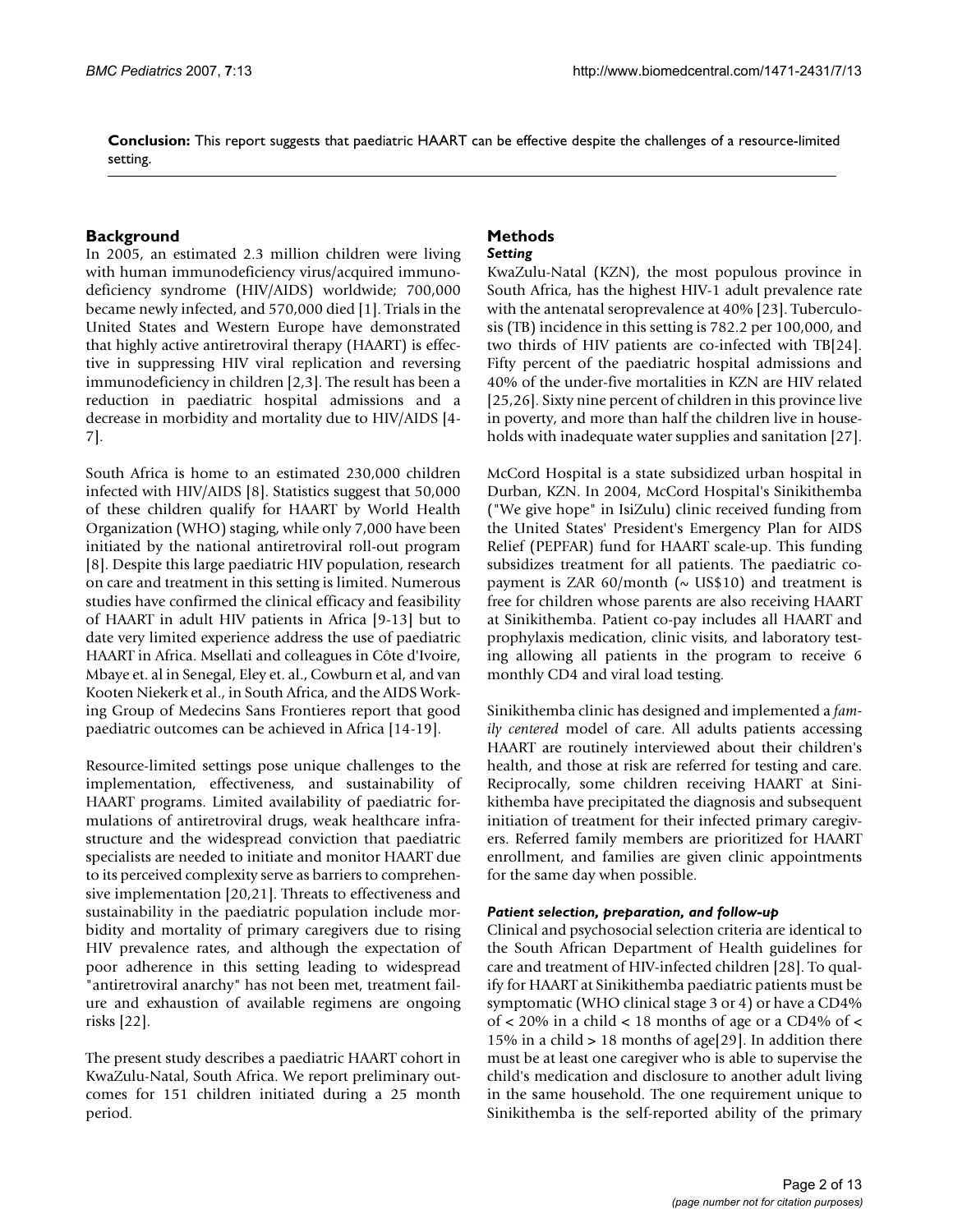**Conclusion:** This report suggests that paediatric HAART can be effective despite the challenges of a resource-limited setting.

### **Background**

In 2005, an estimated 2.3 million children were living with human immunodeficiency virus/acquired immunodeficiency syndrome (HIV/AIDS) worldwide; 700,000 became newly infected, and 570,000 died [1]. Trials in the United States and Western Europe have demonstrated that highly active antiretroviral therapy (HAART) is effective in suppressing HIV viral replication and reversing immunodeficiency in children [2,3]. The result has been a reduction in paediatric hospital admissions and a decrease in morbidity and mortality due to HIV/AIDS [4- 7].

South Africa is home to an estimated 230,000 children infected with HIV/AIDS [8]. Statistics suggest that 50,000 of these children qualify for HAART by World Health Organization (WHO) staging, while only 7,000 have been initiated by the national antiretroviral roll-out program [8]. Despite this large paediatric HIV population, research on care and treatment in this setting is limited. Numerous studies have confirmed the clinical efficacy and feasibility of HAART in adult HIV patients in Africa [9-13] but to date very limited experience address the use of paediatric HAART in Africa. Msellati and colleagues in Côte d'Ivoire, Mbaye et. al in Senegal, Eley et. al., Cowburn et al, and van Kooten Niekerk et al., in South Africa, and the AIDS Working Group of Medecins Sans Frontieres report that good paediatric outcomes can be achieved in Africa [14-19].

Resource-limited settings pose unique challenges to the implementation, effectiveness, and sustainability of HAART programs. Limited availability of paediatric formulations of antiretroviral drugs, weak healthcare infrastructure and the widespread conviction that paediatric specialists are needed to initiate and monitor HAART due to its perceived complexity serve as barriers to comprehensive implementation [20,21]. Threats to effectiveness and sustainability in the paediatric population include morbidity and mortality of primary caregivers due to rising HIV prevalence rates, and although the expectation of poor adherence in this setting leading to widespread "antiretroviral anarchy" has not been met, treatment failure and exhaustion of available regimens are ongoing risks [22].

The present study describes a paediatric HAART cohort in KwaZulu-Natal, South Africa. We report preliminary outcomes for 151 children initiated during a 25 month period.

#### **Methods** *Setting*

KwaZulu-Natal (KZN), the most populous province in South Africa, has the highest HIV-1 adult prevalence rate with the antenatal seroprevalence at 40% [23]. Tuberculosis (TB) incidence in this setting is 782.2 per 100,000, and two thirds of HIV patients are co-infected with TB[24]. Fifty percent of the paediatric hospital admissions and 40% of the under-five mortalities in KZN are HIV related [25,26]. Sixty nine percent of children in this province live in poverty, and more than half the children live in households with inadequate water supplies and sanitation [27].

McCord Hospital is a state subsidized urban hospital in Durban, KZN. In 2004, McCord Hospital's Sinikithemba ("We give hope" in IsiZulu) clinic received funding from the United States' President's Emergency Plan for AIDS Relief (PEPFAR) fund for HAART scale-up. This funding subsidizes treatment for all patients. The paediatric copayment is ZAR 60/month ( $\sim$  US\$10) and treatment is free for children whose parents are also receiving HAART at Sinikithemba. Patient co-pay includes all HAART and prophylaxis medication, clinic visits, and laboratory testing allowing all patients in the program to receive 6 monthly CD4 and viral load testing.

Sinikithemba clinic has designed and implemented a *family centered* model of care. All adults patients accessing HAART are routinely interviewed about their children's health, and those at risk are referred for testing and care. Reciprocally, some children receiving HAART at Sinikithemba have precipitated the diagnosis and subsequent initiation of treatment for their infected primary caregivers. Referred family members are prioritized for HAART enrollment, and families are given clinic appointments for the same day when possible.

#### *Patient selection, preparation, and follow-up*

Clinical and psychosocial selection criteria are identical to the South African Department of Health guidelines for care and treatment of HIV-infected children [28]. To qualify for HAART at Sinikithemba paediatric patients must be symptomatic (WHO clinical stage 3 or 4) or have a CD4% of  $\lt$  20% in a child  $\lt$  18 months of age or a CD4% of  $\lt$ 15% in a child > 18 months of age[29]. In addition there must be at least one caregiver who is able to supervise the child's medication and disclosure to another adult living in the same household. The one requirement unique to Sinikithemba is the self-reported ability of the primary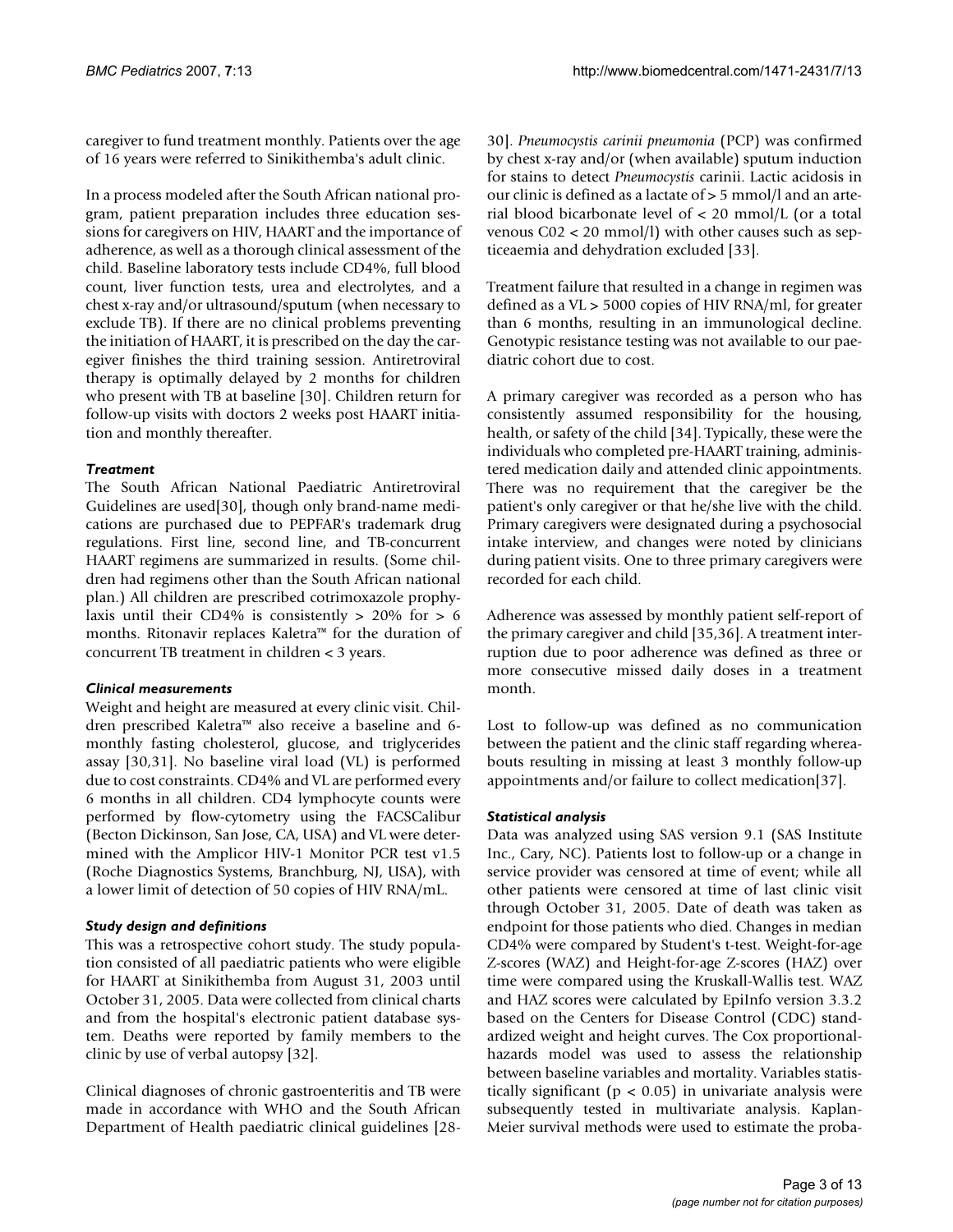caregiver to fund treatment monthly. Patients over the age of 16 years were referred to Sinikithemba's adult clinic.

In a process modeled after the South African national program, patient preparation includes three education sessions for caregivers on HIV, HAART and the importance of adherence, as well as a thorough clinical assessment of the child. Baseline laboratory tests include CD4%, full blood count, liver function tests, urea and electrolytes, and a chest x-ray and/or ultrasound/sputum (when necessary to exclude TB). If there are no clinical problems preventing the initiation of HAART, it is prescribed on the day the caregiver finishes the third training session. Antiretroviral therapy is optimally delayed by 2 months for children who present with TB at baseline [30]. Children return for follow-up visits with doctors 2 weeks post HAART initiation and monthly thereafter.

## *Treatment*

The South African National Paediatric Antiretroviral Guidelines are used[30], though only brand-name medications are purchased due to PEPFAR's trademark drug regulations. First line, second line, and TB-concurrent HAART regimens are summarized in results. (Some children had regimens other than the South African national plan.) All children are prescribed cotrimoxazole prophylaxis until their CD4% is consistently > 20% for > 6 months. Ritonavir replaces Kaletra™ for the duration of concurrent TB treatment in children < 3 years.

## *Clinical measurements*

Weight and height are measured at every clinic visit. Children prescribed Kaletra™ also receive a baseline and 6 monthly fasting cholesterol, glucose, and triglycerides assay [30,31]. No baseline viral load (VL) is performed due to cost constraints. CD4% and VL are performed every 6 months in all children. CD4 lymphocyte counts were performed by flow-cytometry using the FACSCalibur (Becton Dickinson, San Jose, CA, USA) and VL were determined with the Amplicor HIV-1 Monitor PCR test v1.5 (Roche Diagnostics Systems, Branchburg, NJ, USA), with a lower limit of detection of 50 copies of HIV RNA/mL.

## *Study design and definitions*

This was a retrospective cohort study. The study population consisted of all paediatric patients who were eligible for HAART at Sinikithemba from August 31, 2003 until October 31, 2005. Data were collected from clinical charts and from the hospital's electronic patient database system. Deaths were reported by family members to the clinic by use of verbal autopsy [32].

Clinical diagnoses of chronic gastroenteritis and TB were made in accordance with WHO and the South African Department of Health paediatric clinical guidelines [2830]. *Pneumocystis carinii pneumonia* (PCP) was confirmed by chest x-ray and/or (when available) sputum induction for stains to detect *Pneumocystis* carinii. Lactic acidosis in our clinic is defined as a lactate of > 5 mmol/l and an arterial blood bicarbonate level of < 20 mmol/L (or a total venous C02 < 20 mmol/l) with other causes such as septiceaemia and dehydration excluded [33].

Treatment failure that resulted in a change in regimen was defined as a VL > 5000 copies of HIV RNA/ml, for greater than 6 months, resulting in an immunological decline. Genotypic resistance testing was not available to our paediatric cohort due to cost.

A primary caregiver was recorded as a person who has consistently assumed responsibility for the housing, health, or safety of the child [34]. Typically, these were the individuals who completed pre-HAART training, administered medication daily and attended clinic appointments. There was no requirement that the caregiver be the patient's only caregiver or that he/she live with the child. Primary caregivers were designated during a psychosocial intake interview, and changes were noted by clinicians during patient visits. One to three primary caregivers were recorded for each child.

Adherence was assessed by monthly patient self-report of the primary caregiver and child [35,36]. A treatment interruption due to poor adherence was defined as three or more consecutive missed daily doses in a treatment month.

Lost to follow-up was defined as no communication between the patient and the clinic staff regarding whereabouts resulting in missing at least 3 monthly follow-up appointments and/or failure to collect medication[37].

## *Statistical analysis*

Data was analyzed using SAS version 9.1 (SAS Institute Inc., Cary, NC). Patients lost to follow-up or a change in service provider was censored at time of event; while all other patients were censored at time of last clinic visit through October 31, 2005. Date of death was taken as endpoint for those patients who died. Changes in median CD4% were compared by Student's t-test. Weight-for-age Z-scores (WAZ) and Height-for-age Z-scores (HAZ) over time were compared using the Kruskall-Wallis test. WAZ and HAZ scores were calculated by EpiInfo version 3.3.2 based on the Centers for Disease Control (CDC) standardized weight and height curves. The Cox proportionalhazards model was used to assess the relationship between baseline variables and mortality. Variables statistically significant ( $p < 0.05$ ) in univariate analysis were subsequently tested in multivariate analysis. Kaplan-Meier survival methods were used to estimate the proba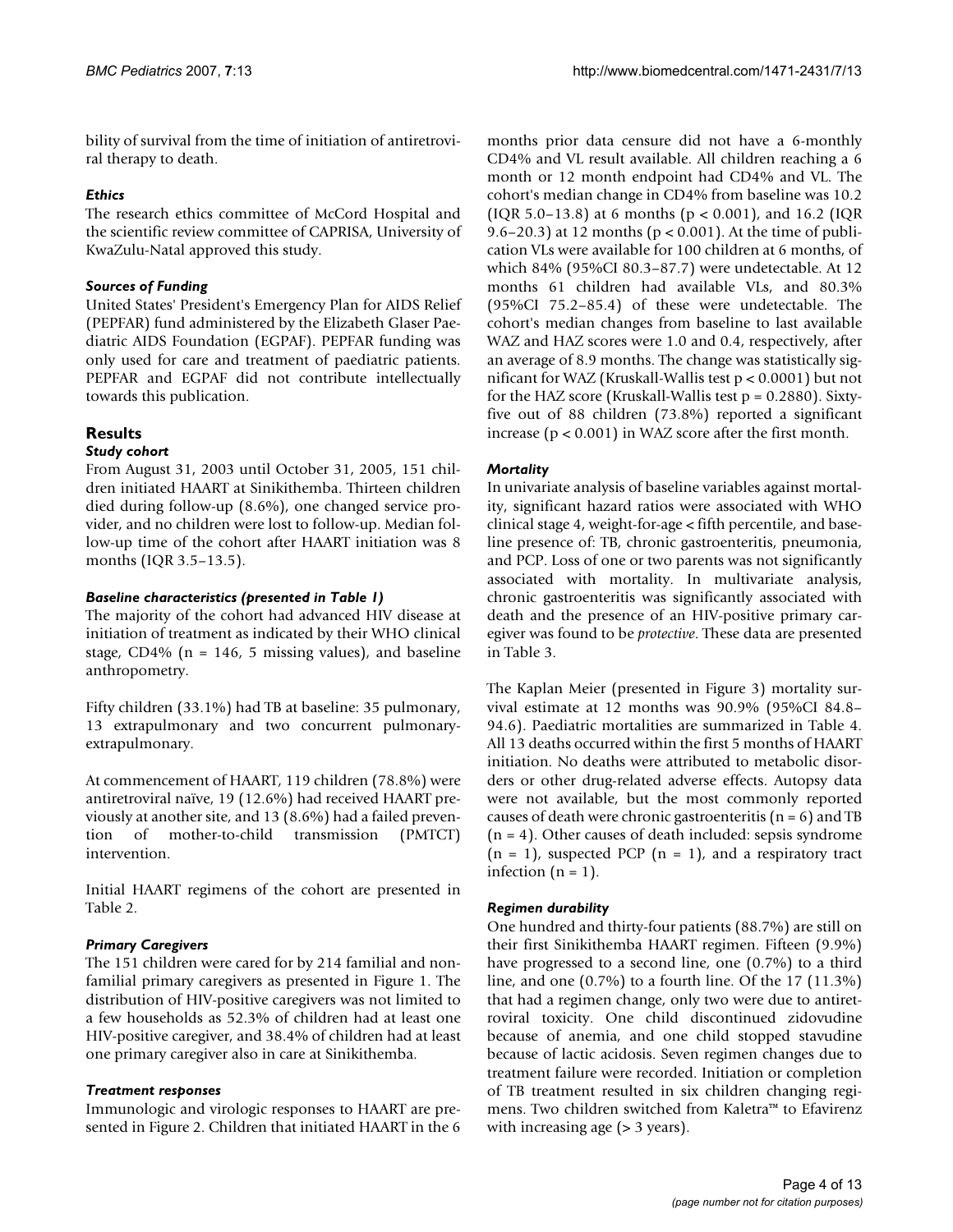bility of survival from the time of initiation of antiretroviral therapy to death.

## *Ethics*

The research ethics committee of McCord Hospital and the scientific review committee of CAPRISA, University of KwaZulu-Natal approved this study.

## *Sources of Funding*

United States' President's Emergency Plan for AIDS Relief (PEPFAR) fund administered by the Elizabeth Glaser Paediatric AIDS Foundation (EGPAF). PEPFAR funding was only used for care and treatment of paediatric patients. PEPFAR and EGPAF did not contribute intellectually towards this publication.

## **Results**

## *Study cohort*

From August 31, 2003 until October 31, 2005, 151 children initiated HAART at Sinikithemba. Thirteen children died during follow-up (8.6%), one changed service provider, and no children were lost to follow-up. Median follow-up time of the cohort after HAART initiation was 8 months (IQR 3.5–13.5).

## *Baseline characteristics (presented in Table 1)*

The majority of the cohort had advanced HIV disease at initiation of treatment as indicated by their WHO clinical stage, CD4% ( $n = 146$ , 5 missing values), and baseline anthropometry.

Fifty children (33.1%) had TB at baseline: 35 pulmonary, 13 extrapulmonary and two concurrent pulmonaryextrapulmonary.

At commencement of HAART, 119 children (78.8%) were antiretroviral naïve, 19 (12.6%) had received HAART previously at another site, and 13 (8.6%) had a failed prevention of mother-to-child transmission (PMTCT) intervention.

Initial HAART regimens of the cohort are presented in Table 2.

## *Primary Caregivers*

The 151 children were cared for by 214 familial and nonfamilial primary caregivers as presented in Figure 1. The distribution of HIV-positive caregivers was not limited to a few households as 52.3% of children had at least one HIV-positive caregiver, and 38.4% of children had at least one primary caregiver also in care at Sinikithemba.

## *Treatment responses*

Immunologic and virologic responses to HAART are presented in Figure 2. Children that initiated HAART in the 6

months prior data censure did not have a 6-monthly CD4% and VL result available. All children reaching a 6 month or 12 month endpoint had CD4% and VL. The cohort's median change in CD4% from baseline was 10.2 (IQR 5.0–13.8) at 6 months (p < 0.001), and 16.2 (IQR 9.6–20.3) at 12 months ( $p < 0.001$ ). At the time of publication VLs were available for 100 children at 6 months, of which 84% (95%CI 80.3–87.7) were undetectable. At 12 months 61 children had available VLs, and 80.3% (95%CI 75.2–85.4) of these were undetectable. The cohort's median changes from baseline to last available WAZ and HAZ scores were 1.0 and 0.4, respectively, after an average of 8.9 months. The change was statistically significant for WAZ (Kruskall-Wallis test p < 0.0001) but not for the HAZ score (Kruskall-Wallis test  $p = 0.2880$ ). Sixtyfive out of 88 children (73.8%) reported a significant increase (p < 0.001) in WAZ score after the first month.

## *Mortality*

In univariate analysis of baseline variables against mortality, significant hazard ratios were associated with WHO clinical stage 4, weight-for-age < fifth percentile, and baseline presence of: TB, chronic gastroenteritis, pneumonia, and PCP. Loss of one or two parents was not significantly associated with mortality. In multivariate analysis, chronic gastroenteritis was significantly associated with death and the presence of an HIV-positive primary caregiver was found to be *protective*. These data are presented in Table 3.

The Kaplan Meier (presented in Figure 3) mortality survival estimate at 12 months was 90.9% (95%CI 84.8– 94.6). Paediatric mortalities are summarized in Table 4. All 13 deaths occurred within the first 5 months of HAART initiation. No deaths were attributed to metabolic disorders or other drug-related adverse effects. Autopsy data were not available, but the most commonly reported causes of death were chronic gastroenteritis  $(n = 6)$  and TB  $(n = 4)$ . Other causes of death included: sepsis syndrome  $(n = 1)$ , suspected PCP  $(n = 1)$ , and a respiratory tract infection  $(n = 1)$ .

## *Regimen durability*

One hundred and thirty-four patients (88.7%) are still on their first Sinikithemba HAART regimen. Fifteen (9.9%) have progressed to a second line, one (0.7%) to a third line, and one (0.7%) to a fourth line. Of the 17 (11.3%) that had a regimen change, only two were due to antiretroviral toxicity. One child discontinued zidovudine because of anemia, and one child stopped stavudine because of lactic acidosis. Seven regimen changes due to treatment failure were recorded. Initiation or completion of TB treatment resulted in six children changing regimens. Two children switched from Kaletra™ to Efavirenz with increasing age ( $>$  3 years).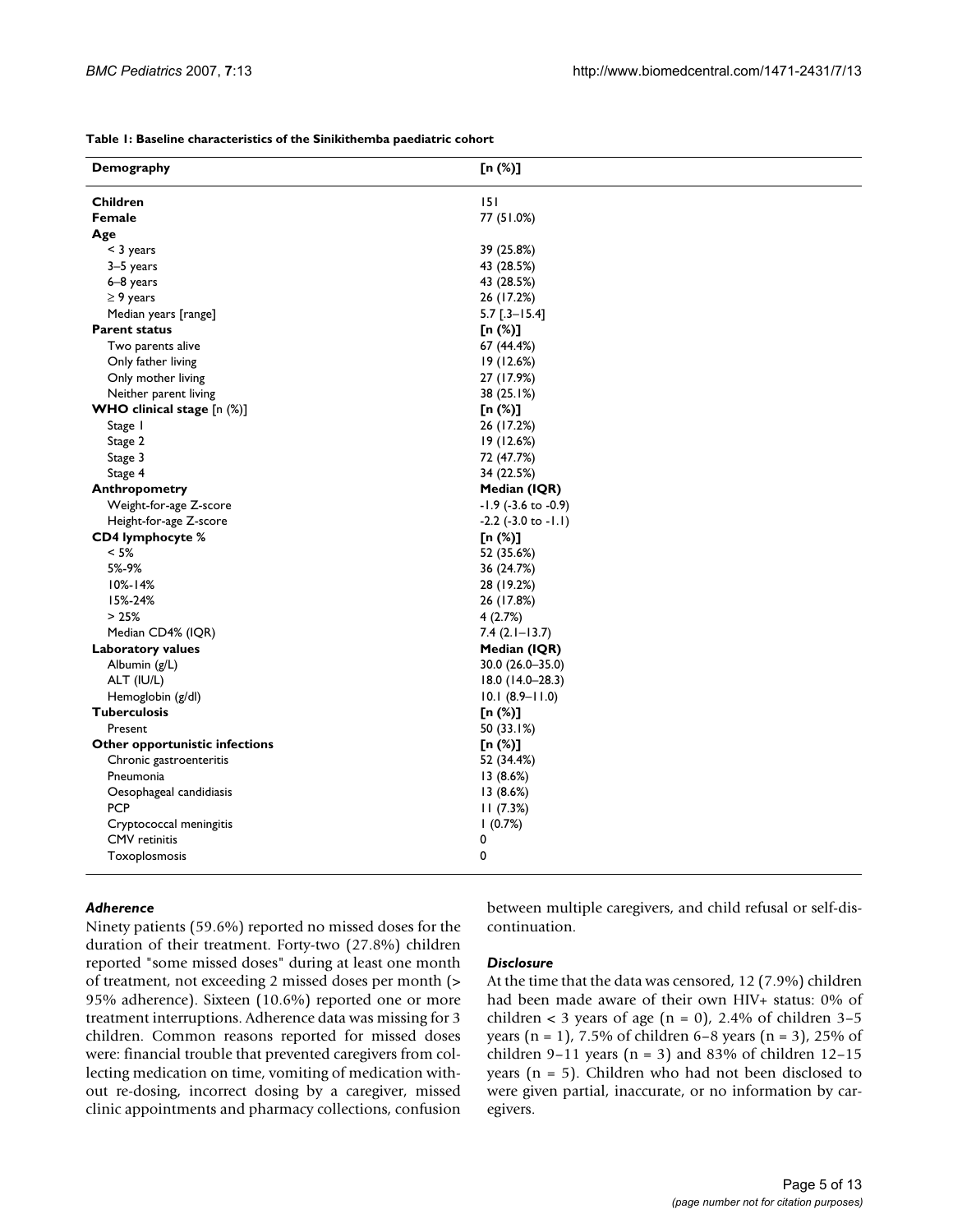**Table 1: Baseline characteristics of the Sinikithemba paediatric cohort**

| Demography                            | [n (%)]                     |
|---------------------------------------|-----------------------------|
| <b>Children</b>                       | 151                         |
| Female                                | 77 (51.0%)                  |
| Age                                   |                             |
| $<$ 3 years                           | 39 (25.8%)                  |
| 3-5 years                             | 43 (28.5%)                  |
| 6-8 years                             | 43 (28.5%)                  |
| $\geq$ 9 years                        | 26 (17.2%)                  |
| Median years [range]                  | $5.7$ [.3-15.4]             |
| <b>Parent status</b>                  | [n $(\%)$ ]                 |
| Two parents alive                     | 67 (44.4%)                  |
| Only father living                    | 19 (12.6%)                  |
| Only mother living                    | 27 (17.9%)                  |
| Neither parent living                 | 38 (25.1%)                  |
| WHO clinical stage [n (%)]            | [n $(\%)$ ]                 |
| Stage I                               | 26 (17.2%)                  |
| Stage 2                               | 19 (12.6%)                  |
| Stage 3                               | 72 (47.7%)                  |
| Stage 4                               | 34 (22.5%)                  |
| Anthropometry                         | Median (IQR)                |
| Weight-for-age Z-score                | $-1.9$ (-3.6 to -0.9)       |
| Height-for-age Z-score                | $-2.2$ ( $-3.0$ to $-1.1$ ) |
| CD4 lymphocyte %                      | [n $(\%)$ ]                 |
| $< 5\%$                               | 52 (35.6%)                  |
| 5%-9%                                 | 36 (24.7%)                  |
| $10% - 14%$                           | 28 (19.2%)                  |
| 15%-24%                               | 26 (17.8%)                  |
| >25%                                  | 4(2.7%)                     |
| Median CD4% (IQR)                     | $7.4(2.1-13.7)$             |
| <b>Laboratory values</b>              | Median (IQR)                |
| Albumin $(g/L)$                       | 30.0 (26.0-35.0)            |
| ALT (IU/L)                            | 18.0 (14.0-28.3)            |
| Hemoglobin (g/dl)                     | $10.1 (8.9 - 11.0)$         |
| <b>Tuberculosis</b>                   | [n $(\%)$ ]                 |
| Present                               | 50 (33.1%)                  |
| <b>Other opportunistic infections</b> | [n (%)]                     |
| Chronic gastroenteritis               | 52 (34.4%)                  |
| Pneumonia                             | 13 (8.6%)                   |
| Oesophageal candidiasis               | 13(8.6%)                    |
| <b>PCP</b>                            | 11(7.3%)                    |
| Cryptococcal meningitis               | 1(0.7%)                     |
| <b>CMV</b> retinitis                  | 0                           |
| Toxoplosmosis                         | 0                           |

#### *Adherence*

Ninety patients (59.6%) reported no missed doses for the duration of their treatment. Forty-two (27.8%) children reported "some missed doses" during at least one month of treatment, not exceeding 2 missed doses per month (> 95% adherence). Sixteen (10.6%) reported one or more treatment interruptions. Adherence data was missing for 3 children. Common reasons reported for missed doses were: financial trouble that prevented caregivers from collecting medication on time, vomiting of medication without re-dosing, incorrect dosing by a caregiver, missed clinic appointments and pharmacy collections, confusion between multiple caregivers, and child refusal or self-discontinuation.

#### *Disclosure*

At the time that the data was censored, 12 (7.9%) children had been made aware of their own HIV+ status: 0% of children < 3 years of age (n = 0), 2.4% of children  $3-5$ years (n = 1), 7.5% of children 6–8 years (n = 3), 25% of children 9-11 years ( $n = 3$ ) and 83% of children 12-15 years (n = 5). Children who had not been disclosed to were given partial, inaccurate, or no information by caregivers.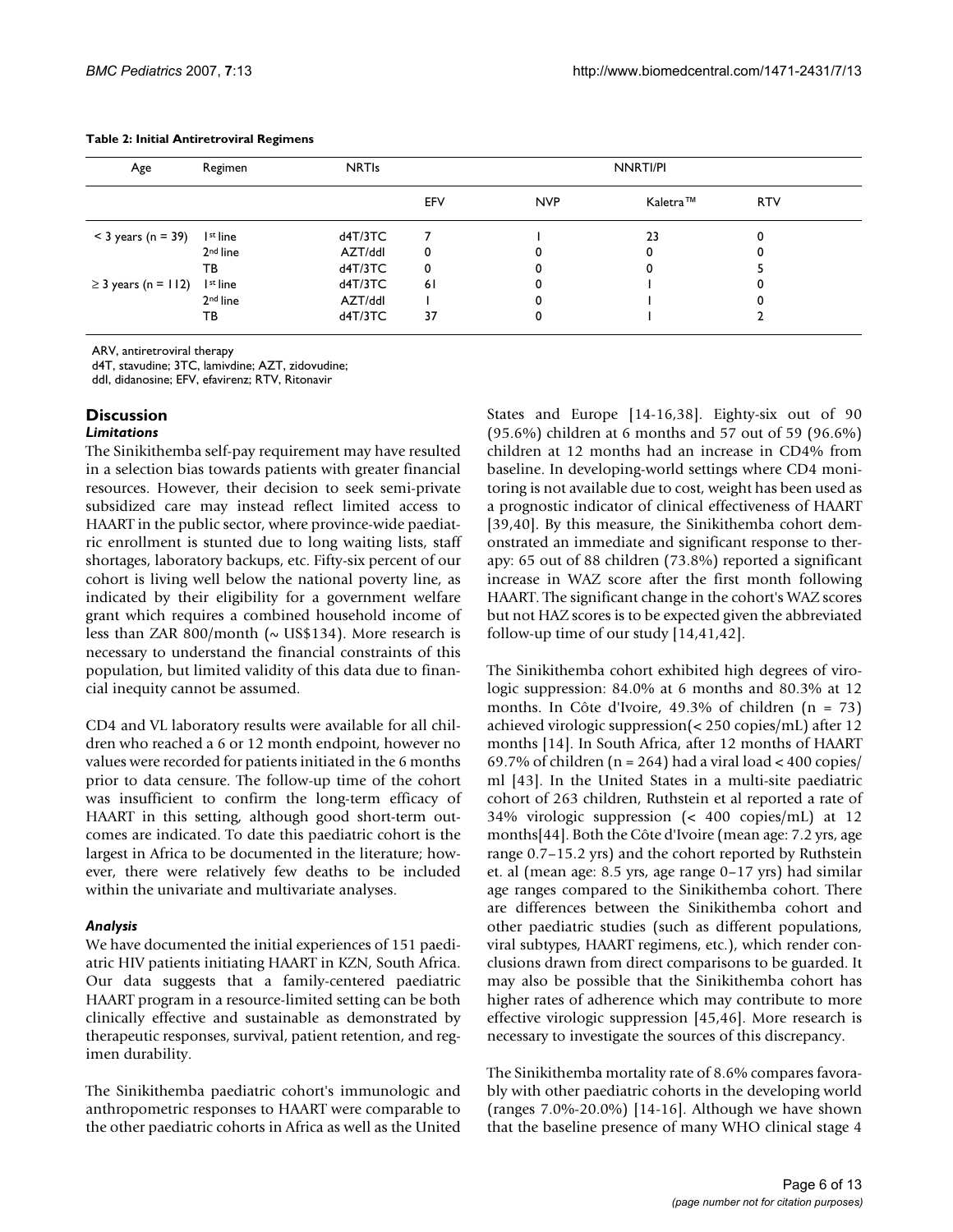| Age                      | Regimen              | <b>NRTIs</b> |     |            | NNRTI/PI |            |  |  |
|--------------------------|----------------------|--------------|-----|------------|----------|------------|--|--|
|                          |                      |              | EFV | <b>NVP</b> | Kaletra™ | <b>RTV</b> |  |  |
| $<$ 3 years (n = 39)     | I <sup>st</sup> line | d4T/3TC      |     |            | 23       | 0          |  |  |
|                          | 2 <sup>nd</sup> line | AZT/ddl      | 0   |            |          |            |  |  |
|                          | тв                   | dAT/3TC      | 0   |            |          |            |  |  |
| $\geq$ 3 years (n = 112) | I <sup>st</sup> line | d4T/3TC      | 6 I |            |          |            |  |  |
|                          | 2 <sup>nd</sup> line | AZT/ddl      |     |            |          |            |  |  |
|                          | тв                   | d4T/3TC      | 37  | 0          |          |            |  |  |

#### **Table 2: Initial Antiretroviral Regimens**

ARV, antiretroviral therapy

d4T, stavudine; 3TC, lamivdine; AZT, zidovudine;

ddI, didanosine; EFV, efavirenz; RTV, Ritonavir

## **Discussion**

#### *Limitations*

The Sinikithemba self-pay requirement may have resulted in a selection bias towards patients with greater financial resources. However, their decision to seek semi-private subsidized care may instead reflect limited access to HAART in the public sector, where province-wide paediatric enrollment is stunted due to long waiting lists, staff shortages, laboratory backups, etc. Fifty-six percent of our cohort is living well below the national poverty line, as indicated by their eligibility for a government welfare grant which requires a combined household income of less than ZAR 800/month ( $\sim$  US\$134). More research is necessary to understand the financial constraints of this population, but limited validity of this data due to financial inequity cannot be assumed.

CD4 and VL laboratory results were available for all children who reached a 6 or 12 month endpoint, however no values were recorded for patients initiated in the 6 months prior to data censure. The follow-up time of the cohort was insufficient to confirm the long-term efficacy of HAART in this setting, although good short-term outcomes are indicated. To date this paediatric cohort is the largest in Africa to be documented in the literature; however, there were relatively few deaths to be included within the univariate and multivariate analyses.

#### *Analysis*

We have documented the initial experiences of 151 paediatric HIV patients initiating HAART in KZN, South Africa. Our data suggests that a family-centered paediatric HAART program in a resource-limited setting can be both clinically effective and sustainable as demonstrated by therapeutic responses, survival, patient retention, and regimen durability.

The Sinikithemba paediatric cohort's immunologic and anthropometric responses to HAART were comparable to the other paediatric cohorts in Africa as well as the United

States and Europe [14-16,38]. Eighty-six out of 90 (95.6%) children at 6 months and 57 out of 59 (96.6%) children at 12 months had an increase in CD4% from baseline. In developing-world settings where CD4 monitoring is not available due to cost, weight has been used as a prognostic indicator of clinical effectiveness of HAART [39,40]. By this measure, the Sinikithemba cohort demonstrated an immediate and significant response to therapy: 65 out of 88 children (73.8%) reported a significant increase in WAZ score after the first month following HAART. The significant change in the cohort's WAZ scores but not HAZ scores is to be expected given the abbreviated follow-up time of our study [14,41,42].

The Sinikithemba cohort exhibited high degrees of virologic suppression: 84.0% at 6 months and 80.3% at 12 months. In Côte d'Ivoire, 49.3% of children (n = 73) achieved virologic suppression(< 250 copies/mL) after 12 months [14]. In South Africa, after 12 months of HAART 69.7% of children ( $n = 264$ ) had a viral load  $< 400$  copies/ ml [43]. In the United States in a multi-site paediatric cohort of 263 children, Ruthstein et al reported a rate of 34% virologic suppression (< 400 copies/mL) at 12 months[44]. Both the Côte d'Ivoire (mean age: 7.2 yrs, age range 0.7–15.2 yrs) and the cohort reported by Ruthstein et. al (mean age: 8.5 yrs, age range 0–17 yrs) had similar age ranges compared to the Sinikithemba cohort. There are differences between the Sinikithemba cohort and other paediatric studies (such as different populations, viral subtypes, HAART regimens, etc.), which render conclusions drawn from direct comparisons to be guarded. It may also be possible that the Sinikithemba cohort has higher rates of adherence which may contribute to more effective virologic suppression [45,46]. More research is necessary to investigate the sources of this discrepancy.

The Sinikithemba mortality rate of 8.6% compares favorably with other paediatric cohorts in the developing world (ranges 7.0%-20.0%) [14-16]. Although we have shown that the baseline presence of many WHO clinical stage 4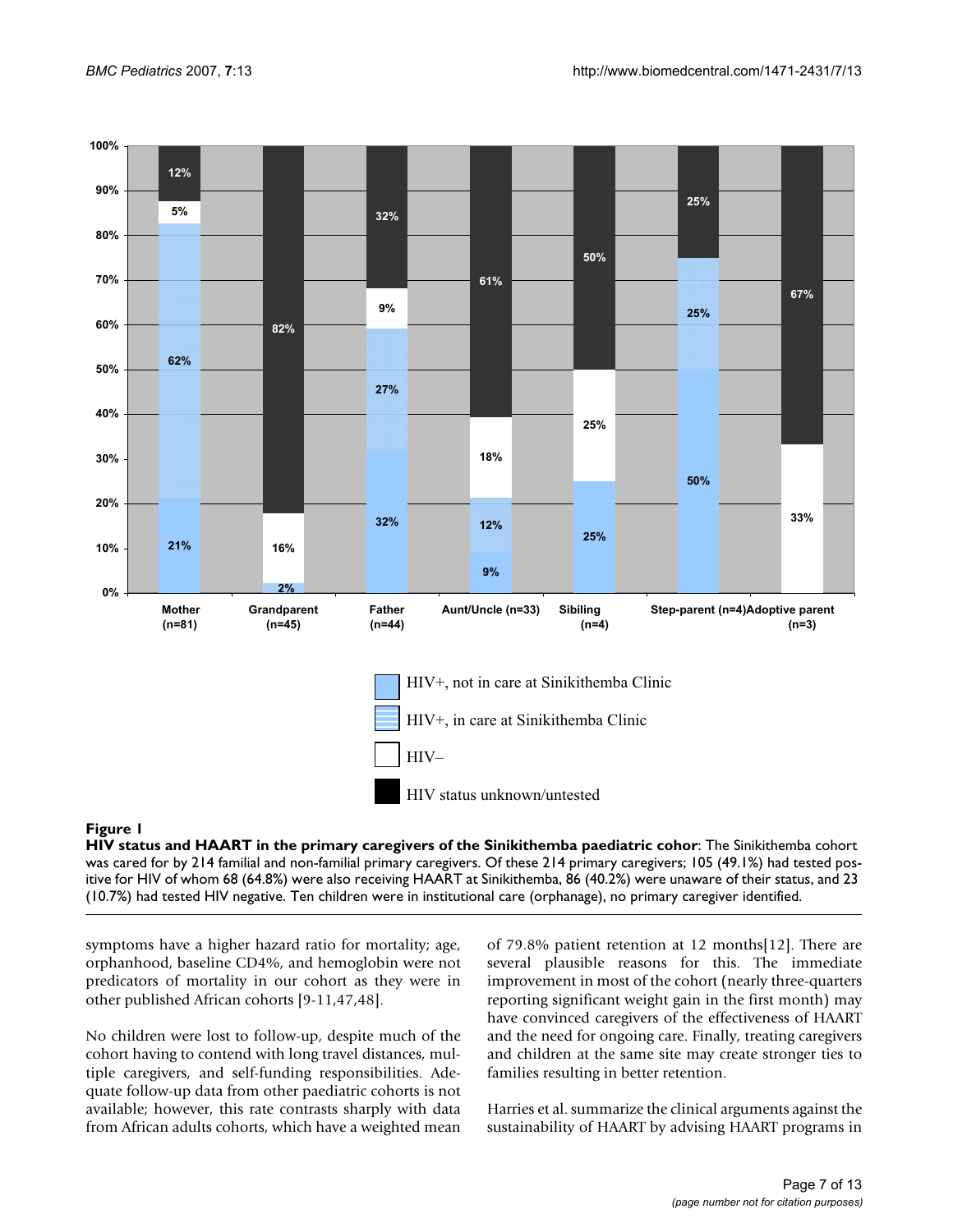

#### HIV status and HAART in the primary caregive **Figure 1** rs of the Sinikithemba paediatric cohort

**HIV status and HAART in the primary caregivers of the Sinikithemba paediatric cohor**: The Sinikithemba cohort was cared for by 214 familial and non-familial primary caregivers. Of these 214 primary caregivers; 105 (49.1%) had tested positive for HIV of whom 68 (64.8%) were also receiving HAART at Sinikithemba, 86 (40.2%) were unaware of their status, and 23 (10.7%) had tested HIV negative. Ten children were in institutional care (orphanage), no primary caregiver identified.

symptoms have a higher hazard ratio for mortality; age, orphanhood, baseline CD4%, and hemoglobin were not predicators of mortality in our cohort as they were in other published African cohorts [9-11,47,48].

No children were lost to follow-up, despite much of the cohort having to contend with long travel distances, multiple caregivers, and self-funding responsibilities. Adequate follow-up data from other paediatric cohorts is not available; however, this rate contrasts sharply with data from African adults cohorts, which have a weighted mean

of 79.8% patient retention at 12 months[12]. There are several plausible reasons for this. The immediate improvement in most of the cohort (nearly three-quarters reporting significant weight gain in the first month) may have convinced caregivers of the effectiveness of HAART and the need for ongoing care. Finally, treating caregivers and children at the same site may create stronger ties to families resulting in better retention.

Harries et al. summarize the clinical arguments against the sustainability of HAART by advising HAART programs in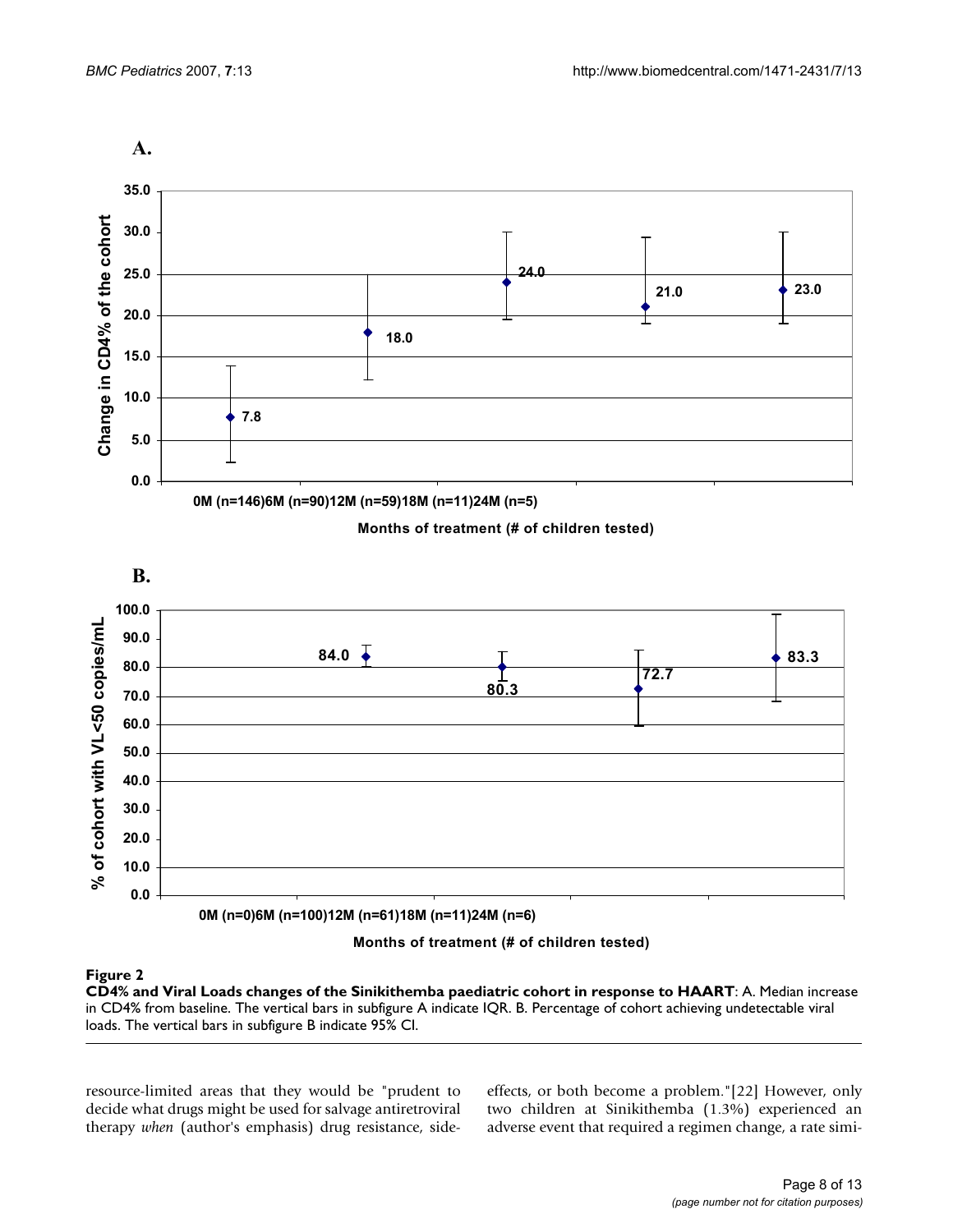

0M (n=0)6M (n=100)12M (n=61)18M (n=11)24M (n=6)

### Months of treatment (# of children tested)

0.0

CD4% and Viral Loads changes of the Sinikithem **Figure 2** ba paediatric cohort in response to HAART **CD4% and Viral Loads changes of the Sinikithemba paediatric cohort in response to HAART**: A. Median increase in CD4% from baseline. The vertical bars in subfigure A indicate IQR. B. Percentage of cohort achieving undetectable viral loads. The vertical bars in subfigure B indicate 95% CI.

resource-limited areas that they would be "prudent to decide what drugs might be used for salvage antiretroviral therapy *when* (author's emphasis) drug resistance, sideeffects, or both become a problem."[22] However, only two children at Sinikithemba (1.3%) experienced an adverse event that required a regimen change, a rate simi-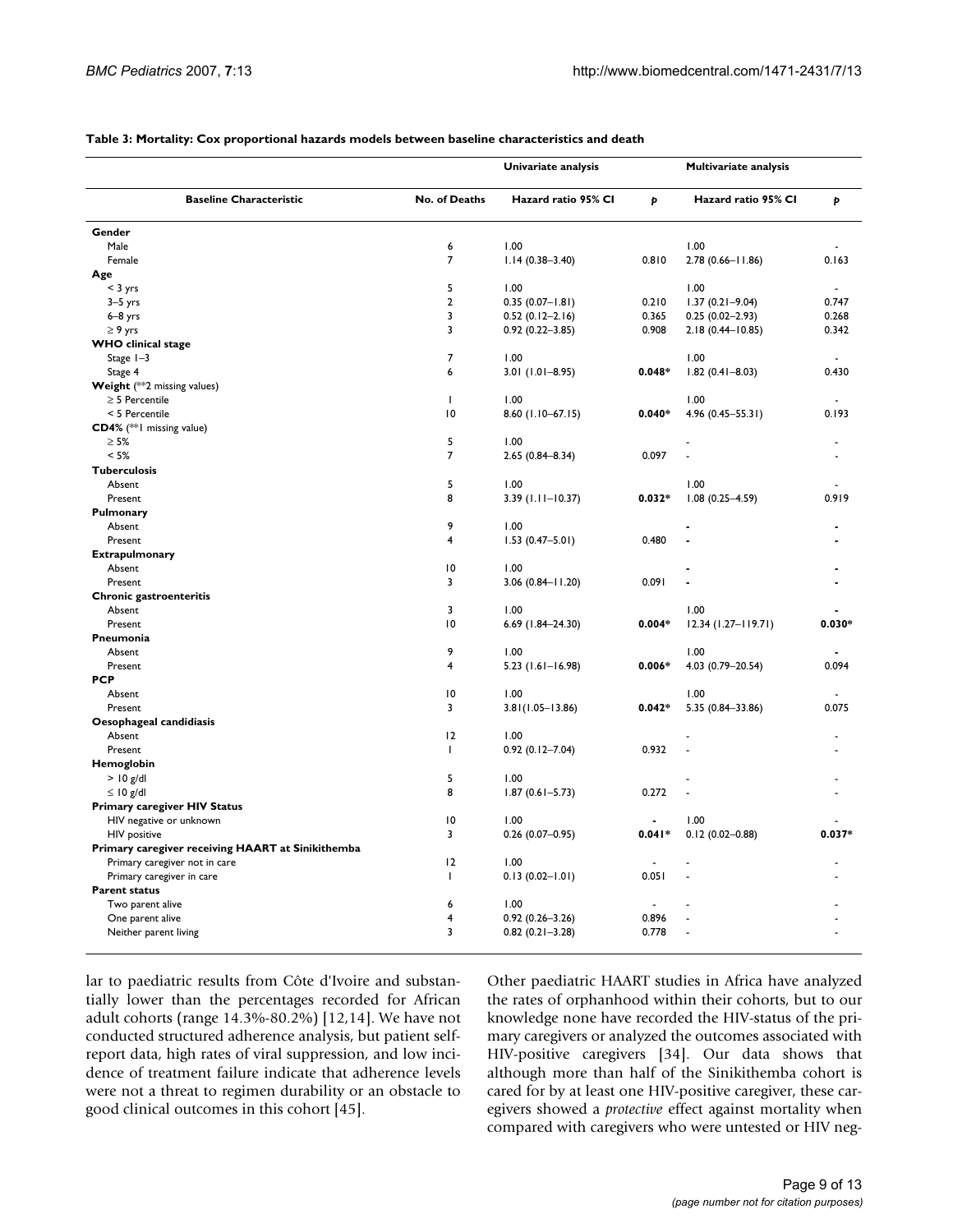|                                                                |                         | Univariate analysis  |          | Multivariate analysis |          |  |
|----------------------------------------------------------------|-------------------------|----------------------|----------|-----------------------|----------|--|
| <b>Baseline Characteristic</b>                                 | No. of Deaths           | Hazard ratio 95% CI  | Þ        | Hazard ratio 95% CI   | p        |  |
| Gender                                                         |                         |                      |          |                       |          |  |
| Male                                                           | 6                       | 1.00                 |          | 1.00                  |          |  |
| Female                                                         | 7                       | $1.14(0.38 - 3.40)$  | 0.810    | 2.78 (0.66-11.86)     | 0.163    |  |
| Age                                                            |                         |                      |          |                       |          |  |
| $<$ 3 yrs                                                      | 5                       | 1.00                 |          | 1.00                  |          |  |
| $3-5$ yrs                                                      | $\overline{2}$          | $0.35(0.07 - 1.81)$  | 0.210    | $1.37(0.21 - 9.04)$   | 0.747    |  |
| $6-8$ yrs                                                      | $\overline{3}$          | $0.52(0.12 - 2.16)$  | 0.365    | $0.25(0.02 - 2.93)$   | 0.268    |  |
| $\geq 9$ yrs                                                   | $\overline{3}$          | $0.92(0.22 - 3.85)$  | 0.908    | 2.18 (0.44-10.85)     | 0.342    |  |
| <b>WHO</b> clinical stage                                      |                         |                      |          |                       |          |  |
| Stage $1-3$                                                    | $\overline{7}$          | 1.00                 |          | 1.00                  |          |  |
| Stage 4                                                        | 6                       | $3.01(1.01 - 8.95)$  | $0.048*$ | $1.82(0.41 - 8.03)$   | 0.430    |  |
| Weight (**2 missing values)                                    |                         |                      |          |                       |          |  |
| $\geq$ 5 Percentile                                            | $\mathbf{I}$            | 1.00                 |          | 1.00                  |          |  |
| < 5 Percentile                                                 | $\overline{10}$         | 8.60 (1.10-67.15)    | $0.040*$ | 4.96 (0.45-55.31)     | 0.193    |  |
| CD4% (** I missing value)                                      |                         |                      |          |                       |          |  |
| $\geq 5\%$                                                     | 5                       | 1.00                 |          |                       |          |  |
| < 5%                                                           | $\overline{7}$          | $2.65(0.84 - 8.34)$  | 0.097    |                       |          |  |
| <b>Tuberculosis</b>                                            |                         |                      |          |                       |          |  |
| Absent                                                         | 5                       | 1.00                 |          | 1.00                  |          |  |
| Present                                                        | 8                       | $3.39$ (1.11-10.37)  | $0.032*$ | $1.08(0.25 - 4.59)$   | 0.919    |  |
| Pulmonary                                                      |                         |                      |          |                       |          |  |
| Absent                                                         | 9                       | 1.00                 |          |                       |          |  |
| Present                                                        | $\overline{\mathbf{4}}$ | $1.53(0.47 - 5.01)$  | 0.480    |                       |          |  |
| <b>Extrapulmonary</b>                                          |                         |                      |          |                       |          |  |
| Absent                                                         | 10                      | 1.00                 |          |                       |          |  |
| Present                                                        | 3                       | $3.06(0.84 - 11.20)$ | 0.091    |                       |          |  |
| Chronic gastroenteritis                                        |                         |                      |          |                       |          |  |
| Absent                                                         | 3                       | 1.00                 |          | 1.00                  |          |  |
| Present                                                        | $\overline{10}$         | 6.69 (1.84-24.30)    | $0.004*$ | 12.34 (1.27-119.71)   | $0.030*$ |  |
| Pneumonia                                                      |                         |                      |          |                       |          |  |
| Absent                                                         | 9                       | 1.00                 |          | 1.00                  |          |  |
| Present                                                        | 4                       | 5.23 (1.61-16.98)    | $0.006*$ | 4.03 (0.79-20.54)     | 0.094    |  |
| <b>PCP</b>                                                     |                         |                      |          |                       |          |  |
| Absent                                                         | $\overline{10}$         | 1.00                 |          | 1.00                  |          |  |
| Present                                                        | 3                       | $3.81(1.05 - 13.86)$ | $0.042*$ | 5.35 (0.84-33.86)     | 0.075    |  |
| Oesophageal candidiasis                                        |                         |                      |          |                       |          |  |
| Absent                                                         | 12                      | 1.00                 |          |                       |          |  |
| Present                                                        | $\mathbf{I}$            | $0.92(0.12 - 7.04)$  | 0.932    |                       |          |  |
| Hemoglobin<br>$>$ 10 g/dl                                      | 5                       | 1.00                 |          |                       |          |  |
|                                                                | 8                       |                      | 0.272    |                       |          |  |
| $\leq 10$ g/dl                                                 |                         | $1.87(0.61 - 5.73)$  |          |                       |          |  |
| <b>Primary caregiver HIV Status</b><br>HIV negative or unknown | 10                      | 1.00                 |          | 1.00                  |          |  |
| <b>HIV</b> positive                                            | 3                       | $0.26(0.07-0.95)$    | $0.041*$ | $0.12(0.02 - 0.88)$   | $0.037*$ |  |
| Primary caregiver receiving HAART at Sinikithemba              |                         |                      |          |                       |          |  |
| Primary caregiver not in care                                  | 12                      | 1.00                 |          |                       |          |  |
| Primary caregiver in care                                      | L                       | $0.13(0.02 - 1.01)$  | 0.051    |                       |          |  |
| <b>Parent status</b>                                           |                         |                      |          |                       |          |  |
| Two parent alive                                               | 6                       | 1.00                 |          |                       |          |  |
| One parent alive                                               | $\overline{\mathbf{4}}$ | $0.92(0.26 - 3.26)$  | 0.896    |                       |          |  |
| Neither parent living                                          | 3                       | $0.82(0.21 - 3.28)$  | 0.778    |                       |          |  |
|                                                                |                         |                      |          |                       |          |  |

#### **Table 3: Mortality: Cox proportional hazards models between baseline characteristics and death**

lar to paediatric results from Côte d'Ivoire and substantially lower than the percentages recorded for African adult cohorts (range 14.3%-80.2%) [12,14]. We have not conducted structured adherence analysis, but patient selfreport data, high rates of viral suppression, and low incidence of treatment failure indicate that adherence levels were not a threat to regimen durability or an obstacle to good clinical outcomes in this cohort [45].

Other paediatric HAART studies in Africa have analyzed the rates of orphanhood within their cohorts, but to our knowledge none have recorded the HIV-status of the primary caregivers or analyzed the outcomes associated with HIV-positive caregivers [34]. Our data shows that although more than half of the Sinikithemba cohort is cared for by at least one HIV-positive caregiver, these caregivers showed a *protective* effect against mortality when compared with caregivers who were untested or HIV neg-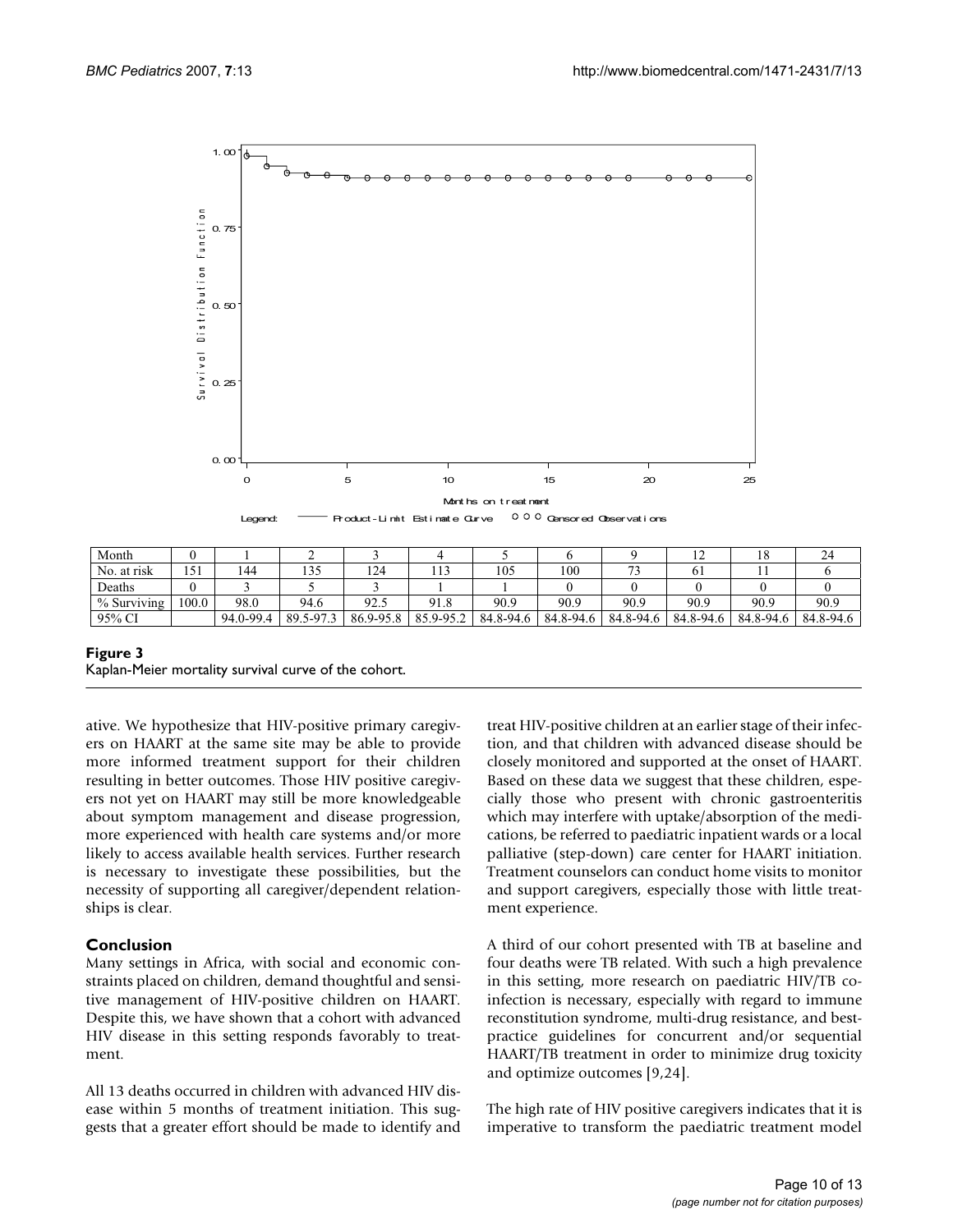

| Month       |       |           |              |               |           |           |           |           | . .       | 10        | 24        |
|-------------|-------|-----------|--------------|---------------|-----------|-----------|-----------|-----------|-----------|-----------|-----------|
| No. at risk | 151   | 144       | 125<br>ر ر 1 | 124           | 113       | 105       | 100       |           |           |           |           |
| Deaths      |       |           |              |               |           |           |           |           |           |           |           |
| % Surviving | 100.0 | 98.0      | 94.6         | 92.5          | 91.8      | 90.9      | 90.9      | 90.9      | 90.9      | 90.9      | 90.9      |
| 95% CI      |       | 94.0-99.4 | 89.5-97.3    | $86.9 - 95.8$ | 85.9-95.2 | 84.8-94.6 | 84.8-94.6 | 84.8-94.6 | 84.8-94.6 | 84.8-94.6 | 84.8-94.6 |

#### **Figure 3** Kaplan-Meier mortality survival curve of the cohort.

ative. We hypothesize that HIV-positive primary caregivers on HAART at the same site may be able to provide more informed treatment support for their children resulting in better outcomes. Those HIV positive caregivers not yet on HAART may still be more knowledgeable about symptom management and disease progression, more experienced with health care systems and/or more likely to access available health services. Further research is necessary to investigate these possibilities, but the necessity of supporting all caregiver/dependent relationships is clear.

## **Conclusion**

Many settings in Africa, with social and economic constraints placed on children, demand thoughtful and sensitive management of HIV-positive children on HAART. Despite this, we have shown that a cohort with advanced HIV disease in this setting responds favorably to treatment.

All 13 deaths occurred in children with advanced HIV disease within 5 months of treatment initiation. This suggests that a greater effort should be made to identify and treat HIV-positive children at an earlier stage of their infection, and that children with advanced disease should be closely monitored and supported at the onset of HAART. Based on these data we suggest that these children, especially those who present with chronic gastroenteritis which may interfere with uptake/absorption of the medications, be referred to paediatric inpatient wards or a local palliative (step-down) care center for HAART initiation. Treatment counselors can conduct home visits to monitor and support caregivers, especially those with little treatment experience.

A third of our cohort presented with TB at baseline and four deaths were TB related. With such a high prevalence in this setting, more research on paediatric HIV/TB coinfection is necessary, especially with regard to immune reconstitution syndrome, multi-drug resistance, and bestpractice guidelines for concurrent and/or sequential HAART/TB treatment in order to minimize drug toxicity and optimize outcomes [9,24].

The high rate of HIV positive caregivers indicates that it is imperative to transform the paediatric treatment model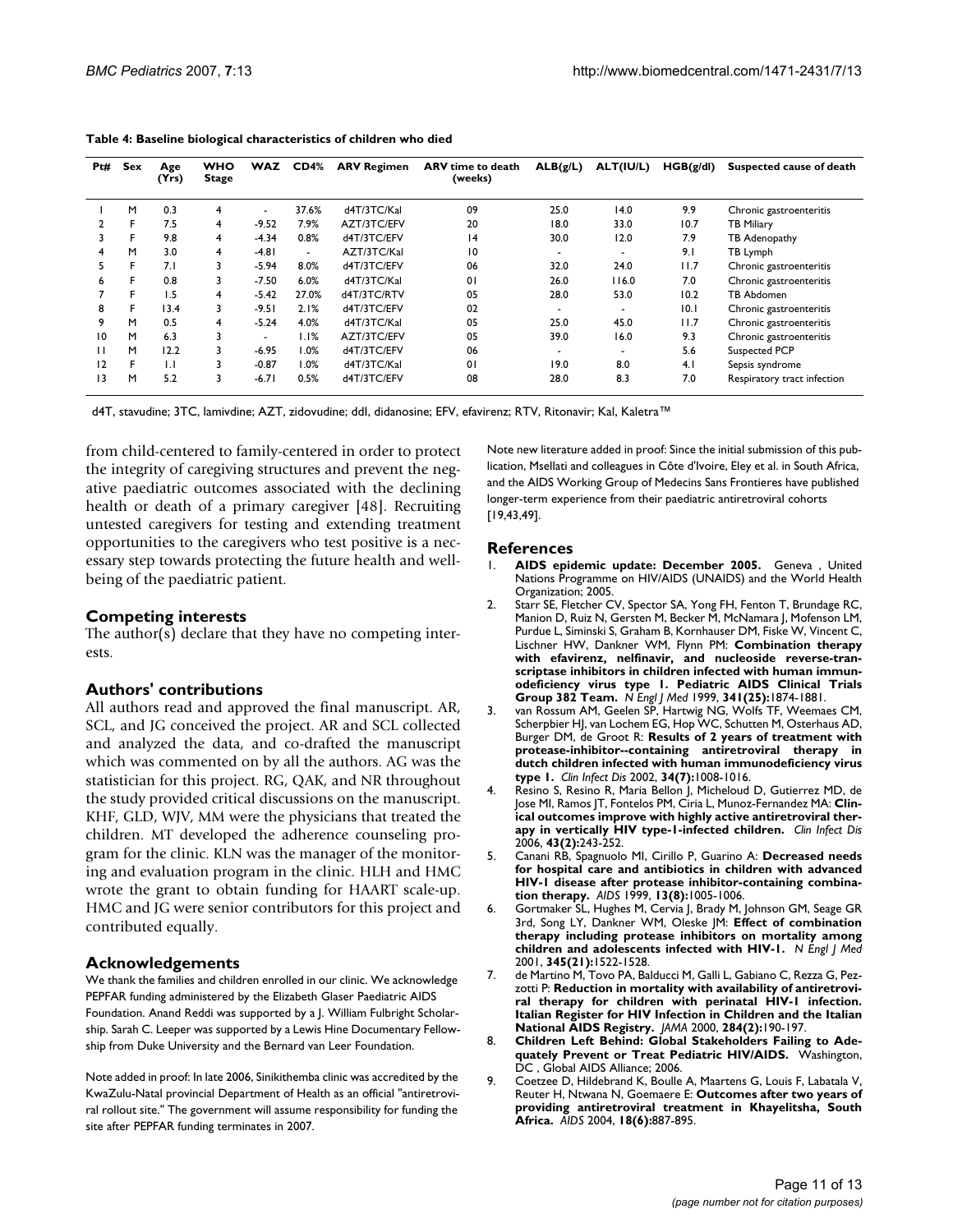| Pt# | Sex | Age<br>(Yrs) | <b>WHO</b><br><b>Stage</b> | <b>WAZ</b> | CD4%    | <b>ARV Regimen</b> | <b>ARV</b> time to death<br>(weeks) | ALB(g/L)                 | ALT(IU/L)                | HGB(g/dl) | Suspected cause of death    |
|-----|-----|--------------|----------------------------|------------|---------|--------------------|-------------------------------------|--------------------------|--------------------------|-----------|-----------------------------|
|     | M   | 0.3          | 4                          |            | 37.6%   | d4T/3TC/Kal        | 09                                  | 25.0                     | 14.0                     | 9.9       | Chronic gastroenteritis     |
|     | F   | 7.5          | 4                          | $-9.52$    | 7.9%    | AZT/3TC/EFV        | 20                                  | 18.0                     | 33.0                     | 10.7      | <b>TB Miliary</b>           |
| 3   | F   | 9.8          | 4                          | $-4.34$    | 0.8%    | d4T/3TC/EFV        | $\overline{14}$                     | 30.0                     | 12.0                     | 7.9       | TB Adenopathy               |
| 4   | M   | 3.0          | 4                          | $-4.81$    | $\sim$  | AZT/3TC/Kal        | 10                                  |                          |                          | 9.1       | TB Lymph                    |
| 5   | F   | 7.1          | 3                          | $-5.94$    | 8.0%    | d4T/3TC/EFV        | 06                                  | 32.0                     | 24.0                     | 11.7      | Chronic gastroenteritis     |
| 6   | F.  | 0.8          | 3                          | $-7.50$    | 6.0%    | d4T/3TC/Kal        | 01                                  | 26.0                     | 116.0                    | 7.0       | Chronic gastroenteritis     |
|     | F   | 1.5          | 4                          | $-5.42$    | 27.0%   | d4T/3TC/RTV        | 05                                  | 28.0                     | 53.0                     | 10.2      | TB Abdomen                  |
| 8   | F   | 13.4         | 3                          | $-9.51$    | 2.1%    | d4T/3TC/EFV        | 02                                  | -                        | $\overline{\phantom{0}}$ | 10.1      | Chronic gastroenteritis     |
| 9   | M   | 0.5          | 4                          | $-5.24$    | 4.0%    | d4T/3TC/Kal        | 05                                  | 25.0                     | 45.0                     | 11.7      | Chronic gastroenteritis     |
| 10  | M   | 6.3          | 3                          |            | 1.1%    | AZT/3TC/EFV        | 05                                  | 39.0                     | 16.0                     | 9.3       | Chronic gastroenteritis     |
| н   | M   | 12.2         | 3                          | $-6.95$    | $1.0\%$ | d4T/3TC/EFV        | 06                                  | $\overline{\phantom{0}}$ | $\overline{\phantom{0}}$ | 5.6       | Suspected PCP               |
| 12  | F   | IJ           | 3                          | $-0.87$    | 1.0%    | d4T/3TC/Kal        | 01                                  | 19.0                     | 8.0                      | 4.1       | Sepsis syndrome             |
| 13  | M   | 5.2          | 3                          | $-6.71$    | 0.5%    | d4T/3TC/EFV        | 08                                  | 28.0                     | 8.3                      | 7.0       | Respiratory tract infection |

**Table 4: Baseline biological characteristics of children who died**

d4T, stavudine; 3TC, lamivdine; AZT, zidovudine; ddI, didanosine; EFV, efavirenz; RTV, Ritonavir; Kal, Kaletra™

from child-centered to family-centered in order to protect the integrity of caregiving structures and prevent the negative paediatric outcomes associated with the declining health or death of a primary caregiver [48]. Recruiting untested caregivers for testing and extending treatment opportunities to the caregivers who test positive is a necessary step towards protecting the future health and wellbeing of the paediatric patient.

#### **Competing interests**

The author(s) declare that they have no competing interests.

#### **Authors' contributions**

All authors read and approved the final manuscript. AR, SCL, and JG conceived the project. AR and SCL collected and analyzed the data, and co-drafted the manuscript which was commented on by all the authors. AG was the statistician for this project. RG, QAK, and NR throughout the study provided critical discussions on the manuscript. KHF, GLD, WJV, MM were the physicians that treated the children. MT developed the adherence counseling program for the clinic. KLN was the manager of the monitoring and evaluation program in the clinic. HLH and HMC wrote the grant to obtain funding for HAART scale-up. HMC and JG were senior contributors for this project and contributed equally.

#### **Acknowledgements**

We thank the families and children enrolled in our clinic. We acknowledge PEPFAR funding administered by the Elizabeth Glaser Paediatric AIDS Foundation. Anand Reddi was supported by a J. William Fulbright Scholarship. Sarah C. Leeper was supported by a Lewis Hine Documentary Fellowship from Duke University and the Bernard van Leer Foundation.

Note added in proof: In late 2006, Sinikithemba clinic was accredited by the KwaZulu-Natal provincial Department of Health as an official "antiretroviral rollout site." The government will assume responsibility for funding the site after PEPFAR funding terminates in 2007.

Note new literature added in proof: Since the initial submission of this publication, Msellati and colleagues in Côte d'Ivoire, Eley et al. in South Africa, and the AIDS Working Group of Medecins Sans Frontieres have published longer-term experience from their paediatric antiretroviral cohorts [19,43,49].

#### **References**

- 1. **AIDS epidemic update: December 2005.** Geneva , United Nations Programme on HIV/AIDS (UNAIDS) and the World Health Organization; 2005.
- 2. Starr SE, Fletcher CV, Spector SA, Yong FH, Fenton T, Brundage RC, Manion D, Ruiz N, Gersten M, Becker M, McNamara J, Mofenson LM, Purdue L, Siminski S, Graham B, Kornhauser DM, Fiske W, Vincent C, Lischner HW, Dankner WM, Flynn PM: **[Combination therapy](http://www.ncbi.nlm.nih.gov/entrez/query.fcgi?cmd=Retrieve&db=PubMed&dopt=Abstract&list_uids=10601506) [with efavirenz, nelfinavir, and nucleoside reverse-tran](http://www.ncbi.nlm.nih.gov/entrez/query.fcgi?cmd=Retrieve&db=PubMed&dopt=Abstract&list_uids=10601506)scriptase inhibitors in children infected with human immunodeficiency virus type 1. Pediatric AIDS Clinical Trials [Group 382 Team.](http://www.ncbi.nlm.nih.gov/entrez/query.fcgi?cmd=Retrieve&db=PubMed&dopt=Abstract&list_uids=10601506)** *N Engl J Med* 1999, **341(25):**1874-1881.
- 3. van Rossum AM, Geelen SP, Hartwig NG, Wolfs TF, Weemaes CM, Scherpbier HJ, van Lochem EG, Hop WC, Schutten M, Osterhaus AD, Burger DM, de Groot R: **[Results of 2 years of treatment with](http://www.ncbi.nlm.nih.gov/entrez/query.fcgi?cmd=Retrieve&db=PubMed&dopt=Abstract&list_uids=11880968) [protease-inhibitor--containing antiretroviral therapy in](http://www.ncbi.nlm.nih.gov/entrez/query.fcgi?cmd=Retrieve&db=PubMed&dopt=Abstract&list_uids=11880968) dutch children infected with human immunodeficiency virus [type 1.](http://www.ncbi.nlm.nih.gov/entrez/query.fcgi?cmd=Retrieve&db=PubMed&dopt=Abstract&list_uids=11880968)** *Clin Infect Dis* 2002, **34(7):**1008-1016.
- 4. Resino S, Resino R, Maria Bellon J, Micheloud D, Gutierrez MD, de Jose MI, Ramos JT, Fontelos PM, Ciria L, Munoz-Fernandez MA: **[Clin](http://www.ncbi.nlm.nih.gov/entrez/query.fcgi?cmd=Retrieve&db=PubMed&dopt=Abstract&list_uids=16779753)[ical outcomes improve with highly active antiretroviral ther](http://www.ncbi.nlm.nih.gov/entrez/query.fcgi?cmd=Retrieve&db=PubMed&dopt=Abstract&list_uids=16779753)[apy in vertically HIV type-1-infected children.](http://www.ncbi.nlm.nih.gov/entrez/query.fcgi?cmd=Retrieve&db=PubMed&dopt=Abstract&list_uids=16779753)** *Clin Infect Dis* 2006, **43(2):**243-252.
- 5. Canani RB, Spagnuolo MI, Cirillo P, Guarino A: **[Decreased needs](http://www.ncbi.nlm.nih.gov/entrez/query.fcgi?cmd=Retrieve&db=PubMed&dopt=Abstract&list_uids=10371191) [for hospital care and antibiotics in children with advanced](http://www.ncbi.nlm.nih.gov/entrez/query.fcgi?cmd=Retrieve&db=PubMed&dopt=Abstract&list_uids=10371191) HIV-1 disease after protease inhibitor-containing combina[tion therapy.](http://www.ncbi.nlm.nih.gov/entrez/query.fcgi?cmd=Retrieve&db=PubMed&dopt=Abstract&list_uids=10371191)** *AIDS* 1999, **13(8):**1005-1006.
- 6. Gortmaker SL, Hughes M, Cervia J, Brady M, Johnson GM, Seage GR 3rd, Song LY, Dankner WM, Oleske JM: **[Effect of combination](http://www.ncbi.nlm.nih.gov/entrez/query.fcgi?cmd=Retrieve&db=PubMed&dopt=Abstract&list_uids=11794218) [therapy including protease inhibitors on mortality among](http://www.ncbi.nlm.nih.gov/entrez/query.fcgi?cmd=Retrieve&db=PubMed&dopt=Abstract&list_uids=11794218) [children and adolescents infected with HIV-1.](http://www.ncbi.nlm.nih.gov/entrez/query.fcgi?cmd=Retrieve&db=PubMed&dopt=Abstract&list_uids=11794218)** *N Engl J Med* 2001, **345(21):**1522-1528.
- 7. de Martino M, Tovo PA, Balducci M, Galli L, Gabiano C, Rezza G, Pezzotti P: **[Reduction in mortality with availability of antiretrovi](http://www.ncbi.nlm.nih.gov/entrez/query.fcgi?cmd=Retrieve&db=PubMed&dopt=Abstract&list_uids=10889592)[ral therapy for children with perinatal HIV-1 infection.](http://www.ncbi.nlm.nih.gov/entrez/query.fcgi?cmd=Retrieve&db=PubMed&dopt=Abstract&list_uids=10889592) Italian Register for HIV Infection in Children and the Italian [National AIDS Registry.](http://www.ncbi.nlm.nih.gov/entrez/query.fcgi?cmd=Retrieve&db=PubMed&dopt=Abstract&list_uids=10889592)** *JAMA* 2000, **284(2):**190-197.
- 8. **Children Left Behind: Global Stakeholders Failing to Adequately Prevent or Treat Pediatric HIV/AIDS.** Washington, DC , Global AIDS Alliance; 2006.
- 9. Coetzee D, Hildebrand K, Boulle A, Maartens G, Louis F, Labatala V, Reuter H, Ntwana N, Goemaere E: **[Outcomes after two years of](http://www.ncbi.nlm.nih.gov/entrez/query.fcgi?cmd=Retrieve&db=PubMed&dopt=Abstract&list_uids=15060436) [providing antiretroviral treatment in Khayelitsha, South](http://www.ncbi.nlm.nih.gov/entrez/query.fcgi?cmd=Retrieve&db=PubMed&dopt=Abstract&list_uids=15060436) [Africa.](http://www.ncbi.nlm.nih.gov/entrez/query.fcgi?cmd=Retrieve&db=PubMed&dopt=Abstract&list_uids=15060436)** *AIDS* 2004, **18(6):**887-895.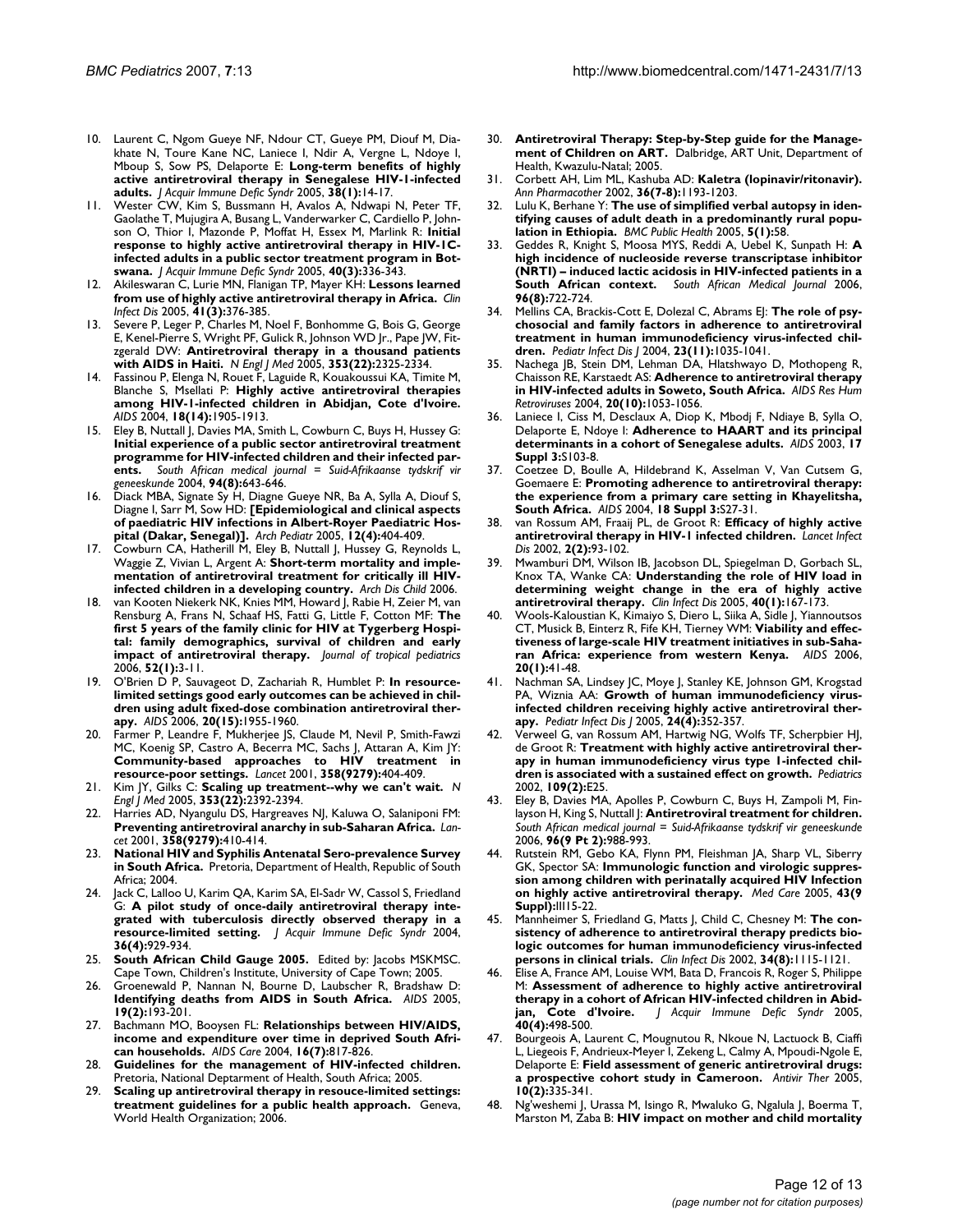- 10. Laurent C, Ngom Gueye NF, Ndour CT, Gueye PM, Diouf M, Diakhate N, Toure Kane NC, Laniece I, Ndir A, Vergne L, Ndoye I, Mboup S, Sow PS, Delaporte E: **[Long-term benefits of highly](http://www.ncbi.nlm.nih.gov/entrez/query.fcgi?cmd=Retrieve&db=PubMed&dopt=Abstract&list_uids=15608518) [active antiretroviral therapy in Senegalese HIV-1-infected](http://www.ncbi.nlm.nih.gov/entrez/query.fcgi?cmd=Retrieve&db=PubMed&dopt=Abstract&list_uids=15608518) [adults.](http://www.ncbi.nlm.nih.gov/entrez/query.fcgi?cmd=Retrieve&db=PubMed&dopt=Abstract&list_uids=15608518)** *J Acquir Immune Defic Syndr* 2005, **38(1):**14-17.
- 11. Wester CW, Kim S, Bussmann H, Avalos A, Ndwapi N, Peter TF, Gaolathe T, Mujugira A, Busang L, Vanderwarker C, Cardiello P, Johnson O, Thior I, Mazonde P, Moffat H, Essex M, Marlink R: **[Initial](http://www.ncbi.nlm.nih.gov/entrez/query.fcgi?cmd=Retrieve&db=PubMed&dopt=Abstract&list_uids=16249709) [response to highly active antiretroviral therapy in HIV-1C](http://www.ncbi.nlm.nih.gov/entrez/query.fcgi?cmd=Retrieve&db=PubMed&dopt=Abstract&list_uids=16249709)infected adults in a public sector treatment program in Bot[swana.](http://www.ncbi.nlm.nih.gov/entrez/query.fcgi?cmd=Retrieve&db=PubMed&dopt=Abstract&list_uids=16249709)** *J Acquir Immune Defic Syndr* 2005, **40(3):**336-343.
- 12. Akileswaran C, Lurie MN, Flanigan TP, Mayer KH: **[Lessons learned](http://www.ncbi.nlm.nih.gov/entrez/query.fcgi?cmd=Retrieve&db=PubMed&dopt=Abstract&list_uids=16007536) [from use of highly active antiretroviral therapy in Africa.](http://www.ncbi.nlm.nih.gov/entrez/query.fcgi?cmd=Retrieve&db=PubMed&dopt=Abstract&list_uids=16007536)** *Clin Infect Dis* 2005, **41(3):**376-385.
- 13. Severe P, Leger P, Charles M, Noel F, Bonhomme G, Bois G, George E, Kenel-Pierre S, Wright PF, Gulick R, Johnson WD Jr., Pape JW, Fitzgerald DW: **[Antiretroviral therapy in a thousand patients](http://www.ncbi.nlm.nih.gov/entrez/query.fcgi?cmd=Retrieve&db=PubMed&dopt=Abstract&list_uids=16319381) [with AIDS in Haiti.](http://www.ncbi.nlm.nih.gov/entrez/query.fcgi?cmd=Retrieve&db=PubMed&dopt=Abstract&list_uids=16319381)** *N Engl J Med* 2005, **353(22):**2325-2334.
- 14. Fassinou P, Elenga N, Rouet F, Laguide R, Kouakoussui KA, Timite M, Blanche S, Msellati P: **[Highly active antiretroviral therapies](http://www.ncbi.nlm.nih.gov/entrez/query.fcgi?cmd=Retrieve&db=PubMed&dopt=Abstract&list_uids=15353976) [among HIV-1-infected children in Abidjan, Cote d'Ivoire.](http://www.ncbi.nlm.nih.gov/entrez/query.fcgi?cmd=Retrieve&db=PubMed&dopt=Abstract&list_uids=15353976)** *AIDS* 2004, **18(14):**1905-1913.
- 15. Eley B, Nuttall J, Davies MA, Smith L, Cowburn C, Buys H, Hussey G: **[Initial experience of a public sector antiretroviral treatment](http://www.ncbi.nlm.nih.gov/entrez/query.fcgi?cmd=Retrieve&db=PubMed&dopt=Abstract&list_uids=15352588) programme for HIV-infected children and their infected par[ents.](http://www.ncbi.nlm.nih.gov/entrez/query.fcgi?cmd=Retrieve&db=PubMed&dopt=Abstract&list_uids=15352588)** *South African medical journal = Suid-Afrikaanse tydskrif vir geneeskunde* 2004, **94(8):**643-646.
- 16. Diack MBA, Signate Sy H, Diagne Gueye NR, Ba A, Sylla A, Diouf S, Diagne I, Sarr M, Sow HD: **[\[Epidemiological and clinical aspects](http://www.ncbi.nlm.nih.gov/entrez/query.fcgi?cmd=Retrieve&db=PubMed&dopt=Abstract&list_uids=15808429) [of paediatric HIV infections in Albert-Royer Paediatric Hos](http://www.ncbi.nlm.nih.gov/entrez/query.fcgi?cmd=Retrieve&db=PubMed&dopt=Abstract&list_uids=15808429)[pital \(Dakar, Senegal\)\].](http://www.ncbi.nlm.nih.gov/entrez/query.fcgi?cmd=Retrieve&db=PubMed&dopt=Abstract&list_uids=15808429)** *Arch Pediatr* 2005, **12(4):**404-409.
- 17. Cowburn CA, Hatherill M, Eley B, Nuttall J, Hussey G, Reynolds L, Waggie Z, Vivian L, Argent A: **[Short-term mortality and imple](http://www.ncbi.nlm.nih.gov/entrez/query.fcgi?cmd=Retrieve&db=PubMed&dopt=Abstract&list_uids=16670122)[mentation of antiretroviral treatment for critically ill HIV](http://www.ncbi.nlm.nih.gov/entrez/query.fcgi?cmd=Retrieve&db=PubMed&dopt=Abstract&list_uids=16670122)[infected children in a developing country.](http://www.ncbi.nlm.nih.gov/entrez/query.fcgi?cmd=Retrieve&db=PubMed&dopt=Abstract&list_uids=16670122)** *Arch Dis Child* 2006.
- van Kooten Niekerk NK, Knies MM, Howard J, Rabie H, Zeier M, van Rensburg A, Frans N, Schaaf HS, Fatti G, Little F, Cotton MF: **[The](http://www.ncbi.nlm.nih.gov/entrez/query.fcgi?cmd=Retrieve&db=PubMed&dopt=Abstract&list_uids=15947012) [first 5 years of the family clinic for HIV at Tygerberg Hospi](http://www.ncbi.nlm.nih.gov/entrez/query.fcgi?cmd=Retrieve&db=PubMed&dopt=Abstract&list_uids=15947012)tal: family demographics, survival of children and early [impact of antiretroviral therapy.](http://www.ncbi.nlm.nih.gov/entrez/query.fcgi?cmd=Retrieve&db=PubMed&dopt=Abstract&list_uids=15947012)** *Journal of tropical pediatrics* 2006, **52(1):**3-11.
- 19. O'Brien D P, Sauvageot D, Zachariah R, Humblet P: **[In resource](http://www.ncbi.nlm.nih.gov/entrez/query.fcgi?cmd=Retrieve&db=PubMed&dopt=Abstract&list_uids=16988517)[limited settings good early outcomes can be achieved in chil](http://www.ncbi.nlm.nih.gov/entrez/query.fcgi?cmd=Retrieve&db=PubMed&dopt=Abstract&list_uids=16988517)dren using adult fixed-dose combination antiretroviral ther[apy.](http://www.ncbi.nlm.nih.gov/entrez/query.fcgi?cmd=Retrieve&db=PubMed&dopt=Abstract&list_uids=16988517)** *AIDS* 2006, **20(15):**1955-1960.
- Farmer P, Leandre F, Mukherjee JS, Claude M, Nevil P, Smith-Fawzi MC, Koenig SP, Castro A, Becerra MC, Sachs J, Attaran A, Kim JY: **[Community-based approaches to HIV treatment in](http://www.ncbi.nlm.nih.gov/entrez/query.fcgi?cmd=Retrieve&db=PubMed&dopt=Abstract&list_uids=11502340) [resource-poor settings.](http://www.ncbi.nlm.nih.gov/entrez/query.fcgi?cmd=Retrieve&db=PubMed&dopt=Abstract&list_uids=11502340)** *Lancet* 2001, **358(9279):**404-409.
- 21. Kim JY, Gilks C: **[Scaling up treatment--why we can't wait.](http://www.ncbi.nlm.nih.gov/entrez/query.fcgi?cmd=Retrieve&db=PubMed&dopt=Abstract&list_uids=16319389)** *N Engl J Med* 2005, **353(22):**2392-2394.
- 22. Harries AD, Nyangulu DS, Hargreaves NJ, Kaluwa O, Salaniponi FM: **[Preventing antiretroviral anarchy in sub-Saharan Africa.](http://www.ncbi.nlm.nih.gov/entrez/query.fcgi?cmd=Retrieve&db=PubMed&dopt=Abstract&list_uids=11502341)** *Lancet* 2001, **358(9279):**410-414.
- 23. **National HIV and Syphilis Antenatal Sero-prevalence Survey in South Africa.** Pretoria, Department of Health, Republic of South Africa; 2004.
- Jack C, Lalloo U, Karim QA, Karim SA, El-Sadr W, Cassol S, Friedland G: **[A pilot study of once-daily antiretroviral therapy inte](http://www.ncbi.nlm.nih.gov/entrez/query.fcgi?cmd=Retrieve&db=PubMed&dopt=Abstract&list_uids=15220699)[grated with tuberculosis directly observed therapy in a](http://www.ncbi.nlm.nih.gov/entrez/query.fcgi?cmd=Retrieve&db=PubMed&dopt=Abstract&list_uids=15220699) [resource-limited setting.](http://www.ncbi.nlm.nih.gov/entrez/query.fcgi?cmd=Retrieve&db=PubMed&dopt=Abstract&list_uids=15220699)** *J Acquir Immune Defic Syndr* 2004, **36(4):**929-934.
- South African Child Gauge 2005. Edited by: Jacobs MSKMSC. Cape Town, Children's Institute, University of Cape Town; 2005.
- 26. Groenewald P, Nannan N, Bourne D, Laubscher R, Bradshaw D: **[Identifying deaths from AIDS in South Africa.](http://www.ncbi.nlm.nih.gov/entrez/query.fcgi?cmd=Retrieve&db=PubMed&dopt=Abstract&list_uids=15668545)** *AIDS* 2005, **19(2):**193-201.
- 27. Bachmann MO, Booysen FL: **[Relationships between HIV/AIDS,](http://www.ncbi.nlm.nih.gov/entrez/query.fcgi?cmd=Retrieve&db=PubMed&dopt=Abstract&list_uids=15385236) [income and expenditure over time in deprived South Afri](http://www.ncbi.nlm.nih.gov/entrez/query.fcgi?cmd=Retrieve&db=PubMed&dopt=Abstract&list_uids=15385236)[can households.](http://www.ncbi.nlm.nih.gov/entrez/query.fcgi?cmd=Retrieve&db=PubMed&dopt=Abstract&list_uids=15385236)** *AIDS Care* 2004, **16(7):**817-826.
- 28. **Guidelines for the management of HIV-infected children.** Pretoria, National Deptarment of Health, South Africa; 2005.
- 29. **Scaling up antiretroviral therapy in resouce-limited settings: treatment guidelines for a public health approach.** Geneva, World Health Organization; 2006.
- 30. **Antiretroviral Therapy: Step-by-Step guide for the Management of Children on ART.** Dalbridge, ART Unit, Department of Health, Kwazulu-Natal; 2005.
- 31. Corbett AH, Lim ML, Kashuba AD: **[Kaletra \(lopinavir/ritonavir\).](http://www.ncbi.nlm.nih.gov/entrez/query.fcgi?cmd=Retrieve&db=PubMed&dopt=Abstract&list_uids=12086554)** *Ann Pharmacother* 2002, **36(7-8):**1193-1203.
- 32. Lulu K, Berhane Y: **[The use of simplified verbal autopsy in iden](http://www.ncbi.nlm.nih.gov/entrez/query.fcgi?cmd=Retrieve&db=PubMed&dopt=Abstract&list_uids=15935096)[tifying causes of adult death in a predominantly rural popu](http://www.ncbi.nlm.nih.gov/entrez/query.fcgi?cmd=Retrieve&db=PubMed&dopt=Abstract&list_uids=15935096)[lation in Ethiopia.](http://www.ncbi.nlm.nih.gov/entrez/query.fcgi?cmd=Retrieve&db=PubMed&dopt=Abstract&list_uids=15935096)** *BMC Public Health* 2005, **5(1):**58.
- 33. Geddes R, Knight S, Moosa MYS, Reddi A, Uebel K, Sunpath H: **[A](http://www.ncbi.nlm.nih.gov/entrez/query.fcgi?cmd=Retrieve&db=PubMed&dopt=Abstract&list_uids=17019496) [high incidence of nucleoside reverse transcriptase inhibitor](http://www.ncbi.nlm.nih.gov/entrez/query.fcgi?cmd=Retrieve&db=PubMed&dopt=Abstract&list_uids=17019496) (NRTI) – induced lactic acidosis in HIV-infected patients in a [South African context.](http://www.ncbi.nlm.nih.gov/entrez/query.fcgi?cmd=Retrieve&db=PubMed&dopt=Abstract&list_uids=17019496)** *South African Medical Journal* 2006, **96(8):**722-724.
- 34. Mellins CA, Brackis-Cott E, Dolezal C, Abrams EJ: **[The role of psy](http://www.ncbi.nlm.nih.gov/entrez/query.fcgi?cmd=Retrieve&db=PubMed&dopt=Abstract&list_uids=15545859)[chosocial and family factors in adherence to antiretroviral](http://www.ncbi.nlm.nih.gov/entrez/query.fcgi?cmd=Retrieve&db=PubMed&dopt=Abstract&list_uids=15545859) treatment in human immunodeficiency virus-infected chil[dren.](http://www.ncbi.nlm.nih.gov/entrez/query.fcgi?cmd=Retrieve&db=PubMed&dopt=Abstract&list_uids=15545859)** *Pediatr Infect Dis J* 2004, **23(11):**1035-1041.
- 35. Nachega JB, Stein DM, Lehman DA, Hlatshwayo D, Mothopeng R, Chaisson RE, Karstaedt AS: **[Adherence to antiretroviral therapy](http://www.ncbi.nlm.nih.gov/entrez/query.fcgi?cmd=Retrieve&db=PubMed&dopt=Abstract&list_uids=15585095) [in HIV-infected adults in Soweto, South Africa.](http://www.ncbi.nlm.nih.gov/entrez/query.fcgi?cmd=Retrieve&db=PubMed&dopt=Abstract&list_uids=15585095)** *AIDS Res Hum Retroviruses* 2004, **20(10):**1053-1056.
- Laniece I, Ciss M, Desclaux A, Diop K, Mbodj F, Ndiaye B, Sylla O, Delaporte E, Ndoye I: **[Adherence to HAART and its principal](http://www.ncbi.nlm.nih.gov/entrez/query.fcgi?cmd=Retrieve&db=PubMed&dopt=Abstract&list_uids=14565616) [determinants in a cohort of Senegalese adults.](http://www.ncbi.nlm.nih.gov/entrez/query.fcgi?cmd=Retrieve&db=PubMed&dopt=Abstract&list_uids=14565616)** *AIDS* 2003, **17 Suppl 3:**S103-8.
- 37. Coetzee D, Boulle A, Hildebrand K, Asselman V, Van Cutsem G, Goemaere E: **[Promoting adherence to antiretroviral therapy:](http://www.ncbi.nlm.nih.gov/entrez/query.fcgi?cmd=Retrieve&db=PubMed&dopt=Abstract&list_uids=15322481) [the experience from a primary care setting in Khayelitsha,](http://www.ncbi.nlm.nih.gov/entrez/query.fcgi?cmd=Retrieve&db=PubMed&dopt=Abstract&list_uids=15322481) [South Africa.](http://www.ncbi.nlm.nih.gov/entrez/query.fcgi?cmd=Retrieve&db=PubMed&dopt=Abstract&list_uids=15322481)** *AIDS* 2004, **18 Suppl 3:**S27-31.
- 38. van Rossum AM, Fraaij PL, de Groot R: **[Efficacy of highly active](http://www.ncbi.nlm.nih.gov/entrez/query.fcgi?cmd=Retrieve&db=PubMed&dopt=Abstract&list_uids=11901656) [antiretroviral therapy in HIV-1 infected children.](http://www.ncbi.nlm.nih.gov/entrez/query.fcgi?cmd=Retrieve&db=PubMed&dopt=Abstract&list_uids=11901656)** *Lancet Infect Dis* 2002, **2(2):**93-102.
- 39. Mwamburi DM, Wilson IB, Jacobson DL, Spiegelman D, Gorbach SL, Knox TA, Wanke CA: **[Understanding the role of HIV load in](http://www.ncbi.nlm.nih.gov/entrez/query.fcgi?cmd=Retrieve&db=PubMed&dopt=Abstract&list_uids=15614708) [determining weight change in the era of highly active](http://www.ncbi.nlm.nih.gov/entrez/query.fcgi?cmd=Retrieve&db=PubMed&dopt=Abstract&list_uids=15614708) [antiretroviral therapy.](http://www.ncbi.nlm.nih.gov/entrez/query.fcgi?cmd=Retrieve&db=PubMed&dopt=Abstract&list_uids=15614708)** *Clin Infect Dis* 2005, **40(1):**167-173.
- 40. Wools-Kaloustian K, Kimaiyo S, Diero L, Siika A, Sidle J, Yiannoutsos CT, Musick B, Einterz R, Fife KH, Tierney WM: **[Viability and effec](http://www.ncbi.nlm.nih.gov/entrez/query.fcgi?cmd=Retrieve&db=PubMed&dopt=Abstract&list_uids=16327318)[tiveness of large-scale HIV treatment initiatives in sub-Saha](http://www.ncbi.nlm.nih.gov/entrez/query.fcgi?cmd=Retrieve&db=PubMed&dopt=Abstract&list_uids=16327318)[ran Africa: experience from western Kenya.](http://www.ncbi.nlm.nih.gov/entrez/query.fcgi?cmd=Retrieve&db=PubMed&dopt=Abstract&list_uids=16327318)** *AIDS* 2006, **20(1):**41-48.
- 41. Nachman SA, Lindsey JC, Moye J, Stanley KE, Johnson GM, Krogstad PA, Wiznia AA: **[Growth of human immunodeficiency virus](http://www.ncbi.nlm.nih.gov/entrez/query.fcgi?cmd=Retrieve&db=PubMed&dopt=Abstract&list_uids=15818296)[infected children receiving highly active antiretroviral ther](http://www.ncbi.nlm.nih.gov/entrez/query.fcgi?cmd=Retrieve&db=PubMed&dopt=Abstract&list_uids=15818296)[apy.](http://www.ncbi.nlm.nih.gov/entrez/query.fcgi?cmd=Retrieve&db=PubMed&dopt=Abstract&list_uids=15818296)** *Pediatr Infect Dis J* 2005, **24(4):**352-357.
- 42. Verweel G, van Rossum AM, Hartwig NG, Wolfs TF, Scherpbier HJ, de Groot R: **[Treatment with highly active antiretroviral ther](http://www.ncbi.nlm.nih.gov/entrez/query.fcgi?cmd=Retrieve&db=PubMed&dopt=Abstract&list_uids=11826235)[apy in human immunodeficiency virus type 1-infected chil](http://www.ncbi.nlm.nih.gov/entrez/query.fcgi?cmd=Retrieve&db=PubMed&dopt=Abstract&list_uids=11826235)[dren is associated with a sustained effect on growth.](http://www.ncbi.nlm.nih.gov/entrez/query.fcgi?cmd=Retrieve&db=PubMed&dopt=Abstract&list_uids=11826235)** *Pediatrics* 2002, **109(2):**E25.
- 43. Eley B, Davies MA, Apolles P, Cowburn C, Buys H, Zampoli M, Finlayson H, King S, Nuttall J: **[Antiretroviral treatment for children.](http://www.ncbi.nlm.nih.gov/entrez/query.fcgi?cmd=Retrieve&db=PubMed&dopt=Abstract&list_uids=17077930)** *South African medical journal = Suid-Afrikaanse tydskrif vir geneeskunde* 2006, **96(9 Pt 2):**988-993.
- 44. Rutstein RM, Gebo KA, Flynn PM, Fleishman JA, Sharp VL, Siberry GK, Spector SA: **[Immunologic function and virologic suppres](http://www.ncbi.nlm.nih.gov/entrez/query.fcgi?cmd=Retrieve&db=PubMed&dopt=Abstract&list_uids=16116305)[sion among children with perinatally acquired HIV Infection](http://www.ncbi.nlm.nih.gov/entrez/query.fcgi?cmd=Retrieve&db=PubMed&dopt=Abstract&list_uids=16116305) [on highly active antiretroviral therapy.](http://www.ncbi.nlm.nih.gov/entrez/query.fcgi?cmd=Retrieve&db=PubMed&dopt=Abstract&list_uids=16116305)** *Med Care* 2005, **43(9 Suppl):**III15-22.
- 45. Mannheimer S, Friedland G, Matts J, Child C, Chesney M: **[The con](http://www.ncbi.nlm.nih.gov/entrez/query.fcgi?cmd=Retrieve&db=PubMed&dopt=Abstract&list_uids=11915001)[sistency of adherence to antiretroviral therapy predicts bio](http://www.ncbi.nlm.nih.gov/entrez/query.fcgi?cmd=Retrieve&db=PubMed&dopt=Abstract&list_uids=11915001)logic outcomes for human immunodeficiency virus-infected [persons in clinical trials.](http://www.ncbi.nlm.nih.gov/entrez/query.fcgi?cmd=Retrieve&db=PubMed&dopt=Abstract&list_uids=11915001)** *Clin Infect Dis* 2002, **34(8):**1115-1121.
- Elise A, France AM, Louise WM, Bata D, Francois R, Roger S, Philippe M: **[Assessment of adherence to highly active antiretroviral](http://www.ncbi.nlm.nih.gov/entrez/query.fcgi?cmd=Retrieve&db=PubMed&dopt=Abstract&list_uids=16280708) therapy in a cohort of African HIV-infected children in Abid-<br>jan, Cote d'Ivoire.** J Acquir Immune Defic Syndr 2005, **[jan, Cote d'Ivoire.](http://www.ncbi.nlm.nih.gov/entrez/query.fcgi?cmd=Retrieve&db=PubMed&dopt=Abstract&list_uids=16280708)** *J Acquir Immune Defic Syndr* 2005, **40(4):**498-500.
- 47. Bourgeois A, Laurent C, Mougnutou R, Nkoue N, Lactuock B, Ciaffi L, Liegeois F, Andrieux-Meyer I, Zekeng L, Calmy A, Mpoudi-Ngole E, Delaporte E: **[Field assessment of generic antiretroviral drugs:](http://www.ncbi.nlm.nih.gov/entrez/query.fcgi?cmd=Retrieve&db=PubMed&dopt=Abstract&list_uids=15865228) [a prospective cohort study in Cameroon.](http://www.ncbi.nlm.nih.gov/entrez/query.fcgi?cmd=Retrieve&db=PubMed&dopt=Abstract&list_uids=15865228)** *Antivir Ther* 2005, **10(2):**335-341.
- Ng'weshemi J, Urassa M, Isingo R, Mwaluko G, Ngalula J, Boerma T, Marston M, Zaba B: **[HIV impact on mother and child mortality](http://www.ncbi.nlm.nih.gov/entrez/query.fcgi?cmd=Retrieve&db=PubMed&dopt=Abstract&list_uids=12843752)**